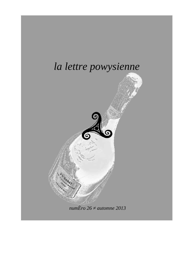

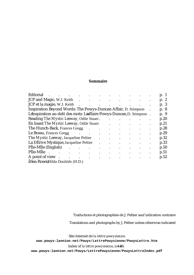## **Sommaire**

| Editorial                   |                                                                                                                                                                                                                                                                                                                                                                                                                                                                                                                                                                                                                                                                                                                                                                                                                                                                                                                                                                                                                                                                                                                                                                                                                                                                                                          |  |  |                      |           |  |  |                      | p. 1      |
|-----------------------------|----------------------------------------------------------------------------------------------------------------------------------------------------------------------------------------------------------------------------------------------------------------------------------------------------------------------------------------------------------------------------------------------------------------------------------------------------------------------------------------------------------------------------------------------------------------------------------------------------------------------------------------------------------------------------------------------------------------------------------------------------------------------------------------------------------------------------------------------------------------------------------------------------------------------------------------------------------------------------------------------------------------------------------------------------------------------------------------------------------------------------------------------------------------------------------------------------------------------------------------------------------------------------------------------------------|--|--|----------------------|-----------|--|--|----------------------|-----------|
|                             |                                                                                                                                                                                                                                                                                                                                                                                                                                                                                                                                                                                                                                                                                                                                                                                                                                                                                                                                                                                                                                                                                                                                                                                                                                                                                                          |  |  |                      |           |  |  |                      |           |
| JCP et la magie, W.J. Keith |                                                                                                                                                                                                                                                                                                                                                                                                                                                                                                                                                                                                                                                                                                                                                                                                                                                                                                                                                                                                                                                                                                                                                                                                                                                                                                          |  |  |                      |           |  |  |                      |           |
|                             |                                                                                                                                                                                                                                                                                                                                                                                                                                                                                                                                                                                                                                                                                                                                                                                                                                                                                                                                                                                                                                                                                                                                                                                                                                                                                                          |  |  |                      |           |  |  |                      |           |
|                             |                                                                                                                                                                                                                                                                                                                                                                                                                                                                                                                                                                                                                                                                                                                                                                                                                                                                                                                                                                                                                                                                                                                                                                                                                                                                                                          |  |  |                      |           |  |  |                      |           |
|                             |                                                                                                                                                                                                                                                                                                                                                                                                                                                                                                                                                                                                                                                                                                                                                                                                                                                                                                                                                                                                                                                                                                                                                                                                                                                                                                          |  |  |                      |           |  |  |                      |           |
|                             |                                                                                                                                                                                                                                                                                                                                                                                                                                                                                                                                                                                                                                                                                                                                                                                                                                                                                                                                                                                                                                                                                                                                                                                                                                                                                                          |  |  |                      |           |  |  |                      |           |
|                             |                                                                                                                                                                                                                                                                                                                                                                                                                                                                                                                                                                                                                                                                                                                                                                                                                                                                                                                                                                                                                                                                                                                                                                                                                                                                                                          |  |  |                      |           |  |  |                      |           |
|                             |                                                                                                                                                                                                                                                                                                                                                                                                                                                                                                                                                                                                                                                                                                                                                                                                                                                                                                                                                                                                                                                                                                                                                                                                                                                                                                          |  |  | $\ddot{\phantom{a}}$ |           |  |  |                      | $\bullet$ |
|                             |                                                                                                                                                                                                                                                                                                                                                                                                                                                                                                                                                                                                                                                                                                                                                                                                                                                                                                                                                                                                                                                                                                                                                                                                                                                                                                          |  |  |                      |           |  |  | $\ddot{\phantom{0}}$ | $\bullet$ |
|                             |                                                                                                                                                                                                                                                                                                                                                                                                                                                                                                                                                                                                                                                                                                                                                                                                                                                                                                                                                                                                                                                                                                                                                                                                                                                                                                          |  |  |                      |           |  |  |                      | $\bullet$ |
|                             |                                                                                                                                                                                                                                                                                                                                                                                                                                                                                                                                                                                                                                                                                                                                                                                                                                                                                                                                                                                                                                                                                                                                                                                                                                                                                                          |  |  | $\bullet$            | $\bullet$ |  |  |                      | $\bullet$ |
| PIle-MIle.                  |                                                                                                                                                                                                                                                                                                                                                                                                                                                                                                                                                                                                                                                                                                                                                                                                                                                                                                                                                                                                                                                                                                                                                                                                                                                                                                          |  |  | $\ddot{\phantom{a}}$ |           |  |  |                      | $\bullet$ |
|                             |                                                                                                                                                                                                                                                                                                                                                                                                                                                                                                                                                                                                                                                                                                                                                                                                                                                                                                                                                                                                                                                                                                                                                                                                                                                                                                          |  |  |                      |           |  |  |                      |           |
|                             | the contract of the contract of the contract of the contract of the contract of<br>$\cdot$ $\cdot$ $\cdot$ $\cdot$ $\cdot$<br>p. 2<br>p. 3<br>the contract of the contract of the contract of the contract of the contract of<br>Inspiration Beyond Words: The Powys-Duncan Affair, D. Stimpson<br>p. 8<br>L Inspiration au-del‡ des mots: L affaire Powys-Duncan, D. Stimpson.<br>p. 9<br>Reading The Mystic Leeway, Odile Stuart.<br>p.20<br>En lisant The Mystic Leeway, Odile Stuart<br>p.21<br><b>Contract Contract Contract</b><br>The Hunch-Back, Frances Gregg .<br>p.28<br>$\bullet$ .<br><br><br><br><br><br><br><br><br><br><br><br><br><br>$\bullet$<br>Le Bossu, Frances Gregg (Chapter 1997)<br>p.29<br>$\mathbf{r}$ and $\mathbf{r}$ and $\mathbf{r}$ and $\mathbf{r}$<br>The Mystic Leeway, Jacqueline Peltier<br>p.32<br>$\bullet$ . The second contract of the $\bullet$<br>La DÉrive Mystique, Jacqueline Peltier<br>p.33<br><b>Contract Contract</b><br>$P$ Ile-MIle (English) $\qquad \qquad$ .<br>p.50<br>$\bullet$<br>$\bullet$<br>$\mathcal{L}^{\text{max}}$ , and $\mathcal{L}^{\text{max}}$ , and $\mathcal{L}^{\text{max}}$<br>p.51<br>and the contract of the contract of<br>$\bullet$ . The set of $\mathcal{O}(\mathbb{R}^d)$<br>p.52<br>aSea Rose, Hilda Doolittle (H.D.) |  |  |                      |           |  |  |                      |           |

Traductions et photographies de J. Peltier sauf indication contraire

Translations and photographs by J. Peltier unless otherwise indicated

Site Internet de *la lettre powysienne*:

**www.powys-lannion.net/Powys/LettrePowysienne/PowysLettre.htm**

Index of *la lettre powysienne*, n 1 26:

**www.powys-lannion.net/Powys/LettrePowysienne/PowysLettreIndex.pdf**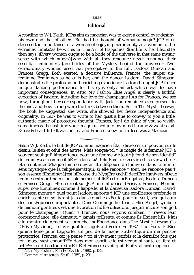### ††ã†1†ã††

## **Editorial**

According to W.J. Keith, JCP s aim as magician was to exert a control over destiny, his own and that of others. But had he thought of woman s magic? JCP often stressed the importance for a woman of enjoying her identity as a woman to the extremest limit, as he writes in *The Art of Happiness*: her life is *her* life... He then says: Every woman ought to be a bride of the universe in that same mystic sense with which nuns†ã†who with all they renounce never renounce their essential femininity†ã†are brides of the Mystery behind the universe. Two extraordinary women used that prerogative to the full, Isadora Duncan and Frances Gregg. Both exerted a decisive influence. Frances, the super unfeminine Feminine, as he calls her, and the dancer Isadora. David Stimpson demonstrates the profound and enriching experience Isadora brought JCP in her unique dancing performance for his eyes only, an act which was to have important consequences. In *After My Fashion* Elise Angel is clearly a faithful evocation of Isadora, including her love for champagne<sup>1</sup> ! As for Frances, we see how, throughout her correspondence with Jack, she remained ever present to the end, and how strong were the links between them. But in *The Mystic Leeway*, the book he suggested she write, she showed her fierce independence and originality. In 1937 he was to write to her: Just a line to convey to you a little *authentic magic* of protective thought, Frances, for I do think of you so *vividly* sometimes & the last time your image rushed into my mind it came & went so *tall* & *free* & *beautiful*!≤ It was no jest and Frances knew he *indeed was* a Magician.

Selon W.J. Keith, le but de JCP comme magicien Ètait d exercer un pouvoir sur le destin, le sien et celui des autres. Mais songea-t-il ‡ la magie de la femme? JCP a souvent soulignÈ l importance pour une femme  $\alpha$  de jouir  $\ddagger$  fond de son identitÈ de femme, car comme il l Ècrit dans *L Art du Bonheur*: sa vie est *sa vie ‡ elle*... Et il continue: Chaque femme devrait Ítre l Èpouse de l univers dans le mÍme sens mystique que la religieuse†ã†qui, si elle renonce ‡ tout, ne renonce pas ‡ son essence fÈminine†ã†est l Èpouse du MystËre cachÈ derriËre l univers. Deux femmes extraordinaires ont pleinement utilisÈ cette prÈrogative, Isadora Duncan et Frances Gregg. Elles eurent sur JCP une influence dÈcisive. Frances, Femme super non-fÈminine, comme il l appelle, et la danseuse Isadora Duncan. David Stimpson montre ‡ quel point Isadora apporta ‡ JCP une expÈrience profonde et enrichissante en se livrant  $\ddagger$  la danse qu elle exÈcuta pour lui seul, acte qui aura des consÈquences importantes. Dans *Comme je l entends*, Elise Angel, symbole de l amour gÈnÈreux est une Èvocation fidËle d Isadora, jusqu‡ inclure son go<sup>°</sup>t pour le champagne<sup>2</sup> ! Quant ‡ Frances, nous voyons combien, ‡ travers leur correspondance, elle demeura ‡ jamais prÈsente, et comme ils Ètaient liÈs. Mais elle montre clairement sa farouche indÈpendance dans *The Mystic Leeway* (La DÈrive Mystique), le livre qu il lui suggÈra d Ècrire. En 1937 il lui Ècrirait: Rien qu une ligne pour t apporter un peu de la *magie authentique* de ma pensÈe protectrice, Frances, car je pense ‡ toi si *vivement* parfois et la derniËre fois que ton image s est engouffrEe dans mon esprit, elle est venue si *haute* et *libre* et *belle***!** Ceci dit en toute sincÈritÈ et Frances savait qu il Ètait *vraiment* magicien.

<sup>1</sup> After My Fashion, Pan Books Ltd, 1980, p.182.

<sup>&</sup>lt;sup>2</sup> *Comme je l entends*, Seuil, 1989, p.231.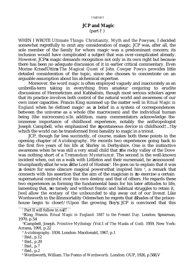### ††ã†2†ã††

# **JCP and Magic**  $(part I<sup>1</sup>)$

WHEN I WROTE *Ultimate Things: Christianity, Myth and the Powyses*, I decided somewhat regretfully to omit any consideration of magic. JCP was, after all, the sole member of the family for whom magic was a predominant concern; its inclusion would have complicated a subject that was over-complicated already. However, JCP s magic demands recognition not only in its own right but because there has been no adequate discussion of it in earlier critical commentary. Even Morine KrissdÛttir *s The Magical Quest of John Cowper Powys* provides little detailed consideration of the topic, since she chooses to concentrate on an arguable assumption about his alchemical expertise.

Moreover, the word *magic* is often employed vaguely and inaccurately as an umbrella-term taking in everything from amateur conjuring to erudite discussions of Hermeticism and Kabbalism, though most serious scholars agree that its practice involves both control of the natural world and awareness of our own inner capacities. Francis King summed up the matter well in *Ritual Magic in England* when he defined magic<sup>2</sup> as a belief in a system of correspondences between the universe as a whole (the macrocosm) and the individual human being (the microcosm). In addition, many commentators acknowledge the immense importance of childhood experience, notably the anthropologist Joseph Campbell, who emphasized the ≥spontaneous device in childhood†...†by which the world can be transformed from banality to magic in a trice  $^{\,3}.$ 

JCP, though far less succinctly, of course, makes both these points in the opening chapter of *Autobiography*. He records two experiences going back to the first five years of his life at Shirley in Derbyshire. One is the instinctive awareness when he was still a very small child that the rocky valley of the Dove was nothing short of a *Tremendum Mysterium* <sup>4</sup>. The second is the well-known incident when, out on a walk with Littleton and their nursemaid, he announced triumphantly≤ that he was ≥åthe Lord of Hostsπ≤ <sup>5</sup> . He goes on to explain that it was a desire for some obscure magical power that inspired him <sup>6</sup>, a remark that connects with his assertion that the aim of the magician is to exercise a certain supernatural control <sup>7</sup> over his own destiny and that of others. He regards these two experiences as forming the fundamental basis for his later attitudes to life, lamenting that, so tamely and without frantic and habitual struggles to retain it, [we] allow *the ecstasy of the unbounded* to slip away out of our lives <sup>8</sup>. Like Wordsworth in the åImmortality Ode when he regrets that Shades of the prisonhouse begin to close†/†Upon the growing Boy $^{\circ}$ , JCP is convinced that this

 $^1$  Part II will follow in n 27.

<sup>2</sup>†King, Francis. *Ritual Magic in England: 1887 to the Present Day*. London: Spearman, 1970, p.54

<sup>3</sup>†Campbell, Joseph. *Primitive Mythology* (Vol.1 of *The Masks of God*). 1959. New York: Arcana, 1991, p.22

<sup>4</sup> *Autobiography.* 1934. London: Macdonald, 1967, p.1

<sup>5</sup> Ibid., p.12

<sup>6</sup> Ibid., p.29

<sup>7</sup> Ibid., p.7

<sup>8</sup> Ibid., p.2

<sup>9</sup> Wordsworth, William. *The Poems of Wordsworth.* London: OUP, 1926, p.588,V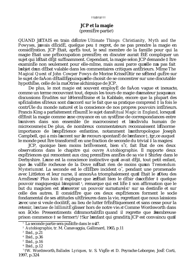### ttä<sub>8</sub>tättt

# **JCP** et la magie

 $(premi \ddot{E}re partie)$ 

QUAND JETAIS en train d Ecrire Ultimate Things: Christianity, Myth and the *Powyses*, j avais dÈcidÈ, quelque peu  $\ddagger$  regret, de ne pas prendre la magie en considEration. JCP Etait, aprEs tout, le seul membre de la famille pour qui la magie Etait une prEoccupation premiEre; en discuter aurait EtE compliquer un sujet qui l Etait dEi<sup>†</sup> suffisamment. Cependant, la magie selon JCP demande ‡ Itre examinÈe non seulement pour elle-mime, mais aussi parce quelle n a pas fait l objet d un dEbat valable dans les commentaires critiques antErieurs. MIme The Magical Quest of John Cowper Powys de Morine Krissd Ûttir ne s Etend guEre sur le sujet de faÁon dÈtaillÈepuisqu elle choisit de se concentrer sur une discutable hypothËse, celle de la maÓtrise alchimique de JCP.

De plus, le mot *magie* est souvent employe de faAon vague et inexacte, comme un terme recouvrant tout, depuis les tours de magie d'amateur jusqu'aux discussions Erudites sur l'HermEtisme et la Kabbale, encore que la plupart des spÈcialistes sÈrieux sont d accord sur le fait que sa pratique comprend ‡ la fois le contrÙle du monde naturel et la conscience de nos propres pouvoirs intÈrieurs. Francis King a parfaitement rEsumE le sujet dans Ritual Magic in England, lorsqu il dÈfinit la magie comme une crovance en un systÈme de correspondances entre l univers dans son ensemble (le macrocosme) et l individu humain (le microcosme). De plus, de nombreux commentateurs reconnaissent l Enorme importance de l'expÈrience enfantine, notamment l'anthropologue Joseph Campbell, qui a mis l accent sur le recours spontanE de l enfance t. gr, ce auquel le monde peut Itre transformE en une fraction de seconde du trivial ‡ la magie.

JCP, quoique bien moins bri Evement, bien s'r, fait Etat de ces deux observations dans le chapitre qui ouvre Autobiographie. Il rapporte deux expÈriences qui remontent aux cinq premiÈres annÈes de sa vie ‡ Shirley dans le Derbyshire. L une est la conscience instinctive qu il avait dÈj‡, tout petit enfant, que la vallEe rocheuse de la Dove n Etait rien de moins qu'un Tremendum Mysterium<sup>2</sup>. La seconde est le c $\tilde{E}$ l $\tilde{E}$ bre incident o<sup>r</sup>, pendant une promenade avec Littleton et leur nurse, il annonÁa triomphalement qu il Ètait le Dieu des ArmEes.<sup>3</sup> Plus loin il explique que c Etait bien le dEsir d accEder ‡ quelque pouvoir magique qui l'inspirait<sup>4</sup>, remarque qui est lifte  $\ddagger$  son affirmation que le but du magicien est d'exercer un pouvoir surnaturel <sup>5</sup> sur sa destinÈe et sur celle des autres. Il considEre que ces deux expEriences forment le socle fondamental de ses attitudes ultErieures dans la vie, regrettant que nous laissions avec une si veule docilitE, au lieu de lutter frEnEtiquement et sans cesse pour la retenir, *l* extase de *l* illimit Eglisser hors de notre vie. Comme Wordsworth dans son aOde: Pressentiments d ImmortalitE quand il regrette que l ombreuse prison commence  $\ddagger$  se fermer<sup>†</sup>/†Sur l enfant qui grandit<sup>7</sup>, JCP est convaincu qu il

 $6$  Ibid., p.12

 $\frac{1}{1}$  La seconde partie sera publi $\tilde{E}$ e dans le n 27.

<sup>&</sup>lt;sup>2</sup> Autobiographie, tr. M. Canavaggia, Gallimard, 1965, p.11

 $3$  Ibid., p.21

 $4$  Ibid., p.36

 $<sup>5</sup>$  Ibid., p.16</sup>

<sup>&</sup>lt;sup>7</sup>†W. Wordsworth, Ballades Lyriques, tr. S. VigÈe et D. Peyrache-Leborgne, JosÈ Corti, 1997, p.324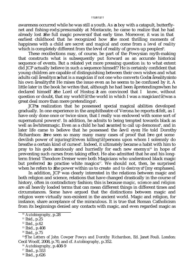awareness occurred while he was still a youth. As a boy with a catapult, butterflynet and fishing-rod, presumably at Montacute, he came to realize that he had already lost the full magic power of that early time. Moreover, it was in that earliest childhood that he recognized how the most thrilling moments of happiness with a child are *secret* and *magical* and come from *a level of reality* which is completely different from the level of reality of grown-up people $^{\text{\tiny{10}}}$ .

These recollections may, of course, be part of the Powysian myth-making that constructs what is subsequently put forward as an accurate historical sequence of events. But a related yet more pressing question is: to what extent did JCP actually believe in such a sequence himself? He is certainly confident that young children are capable of distinguishing between their own wishes and what adults call åreality: what is a magician if not one who converts God s åreality into his own areality?<sup>11</sup> He raises the issue even as he seems to be confused by it. A little later in the book he writes that, although he had been apretending when he declared himself the Lord of Hosts, I am convinced that I *knew*, without question or doubt, that my world†ã†the world in which I was a magician†ã†was a great deal more than mere pretending $^{\text{ }12}.$ 

JCP s realization that he possessed special magical abilities developed gradually. In one experience in the amphitheatre of Verona he reports: I felt, as I have only done once or twice since, that I really *was* endowed with some sort of supernatural power  $13$ . In addition, he admits to being tempted towards black as well as awhite magic. Even as a child he had wanted to call up demons<sup>14</sup>, and in later life came to believe that he possessed the åevil eye. He told Dorothy Richardson: I ve seen so many many many cases of proof that I ve got some devilish power of injuring†ã†even killing†ã†persons upon whom I solemnly do breathe a certain kind of curse <sup>15</sup>. Indeed, it ultimately became a habit with him to pray to his gods anxiously and hurriedly for each new enemy  $16$  in hope of preventing such curses from taking effect. He also admitted that he and his longterm friend Theodore Dreiser were both Magicians who understood black magic but preferred to practise white magic  $\mu$ . We should not, then, be surprised when he refers to the power within us to create *and to destroy* <sup>18</sup> [my emphases].

In addition, JCP was clearly interested in the relations between magic and both religion and science, relations that have changed drastically in the course of history, often in contradictory fashion; this is because *magic, science* and *religion* are all heavily loaded terms that can mean different things in different times and circumstances. Some have argued that the distinctions between magic and religion were virtually non-existent in the ancient world. Magic and religion, for instance, share acceptance of the miraculous. It is true that Roman Catholicism from its beginnings denied any contacts with magic, and even regarded magic as

<sup>10</sup> *Autobiography*, p.28

 $11$  Ibid., p.25

<sup>12</sup> Ibid., p.62

<sup>13</sup> Ibid., p.408

<sup>14</sup> Ibid., p.75

<sup>15</sup> †*The Letters of John Cowper Powys and Dorothy Richardson*, Ed. Janet Fouli. London: Cecil Woolf, 2008, p.70, and cf. *Autobiography*, p.352.

<sup>16</sup> *Autobiography*, p.408-9

<sup>17</sup> Ibid., p.553

<sup>18</sup> Ibid., p.626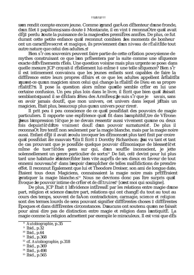#### ttä5tättt

s en rendit compte encore jeune. Comme grand garÁon dÈtenteur d'une fronde, d un filet  $\ddagger$  papillons, sans doute  $\ddagger$  Montacute, il en vint  $\ddagger$  reconna Ótre qu il avait dÈi‡ perdu toute la puissance de la magie des premiËres annÈes. De plus, ce fut durant cette petite enfance qu il reconnut combien les moments de bonheur ont un caractEre *secret* et *magique*, ils proviennent d un *niveau de rEalitE*de tout autre nature que celui des adultes. <sup>8</sup>

Bien s'r ces souvenirs peuvent faire partie de cette crÈation powysienne de mythes construisant ce que l'on prÈsentera par la suite comme une sÈquence exacte d EvEnements rEels. Une question voisine mais plus urgente se pose: dans quelle mesure JCP croyait-il rÈellement lui-mime  $\ddagger$  une telle sÈquence? Bien s'r il est intimement convaincu que les jeunes enfants sont capables de faire la diffÈrence entre leurs propres dÈsirs et ce que les adultes appellent arÈalitÈ : quest-ce qu un magicien sinon celui qui change la rÈalitÈ de Dieu en sa propre rÈalitÈ?<sup>9</sup>. Il pose la question alors mime quelle semble crèter en lui une certaine confusion. Un peu plus loin dans le livre, il Ecrit que bien qu'il faisait semblant quand il se dÈclara Dieu des ArmÈes, Je suis s'i que je *savais*, sans en avoir jamais doutE, que mon univers, cet univers dans lequel j Etais un magicien, Etait plus, beaucoup plus qu un univers pour rire <sup>10</sup>.

Il prit peu ‡ peu conscience de ce qu il possEdait des pouvoirs de magie particuliers. Il rapporte une expÈrience qu il fit dans l amphithÈ, tre de VÈrone: Jeus l impression † a † que je ne devais ressentir aussi vivement qu une ou deux fois depuistã d fitre vraiment dou $\hat{E}$  d un pouvoir surnaturel <sup>11</sup>. De plus il reconnaÓt Ítre tentÈ non seulement par la magie blanche, mais par la magie noire aussi. Enfant dÈj‡ il avait voulu invoquer les dÈmons et plus tard finit par croire qu il possEdait ale mauvais [il . Il Ecrit  $\ddagger$  Dorothy Richardson: J ai vu tant et tant de cas prouvant que je possEde quelque pouvoir dEmoniaque de blessera tet mime de tuer tat des gens sur qui, d'un souffle inconscient, je jette solennellement un genre particulier de sort.<sup>12</sup> De fait, cel<sup>‡</sup> devint pour lui plus tard une habitude d intercEder bien vite auprEs de ses dieux en faveur de tout ennemi nouveau! <sup>13</sup> dans l espoir d emplcher de telles malEdictions de prendre effet. Il reconnut Ègalement que lui et Theodore Dreiser, son ami de longue date. Etaient tous deux Magiciens, connaissaient la magie noire mais prEfEraient pratiquer la magie blanche. <sup>14</sup> Nous ne devrions donc pas Itre surpris qu il Evoque le pouvoir intime de cr $\mathrm{Eer}$  et *de dEtruire* <sup>15</sup> [c est moi qui souligne].

De plus, JCP Etait ‡ l Evidence intEressE par les relations entre magie d une part, religion et science d autre part, relations qui ont changet du tout au tout au cours des temps, souvent de faAon contradictoire, carmagie, science et religion sont des termes lourds de sens pouvant signifier diffErentes choses ‡ diffErentes Epoques et dans diffErentes circonstances. D aucuns ont soutenu qu on ne faisait pour ainsi dire pas de distinction entre magie et religion dans lantiquite. La magie comme la religion admettent par exemple le miraculeux. Il est vrai que d<sup>E</sup>s

- <sup>12</sup> cf. Autobiographie, p.318
- <sup>13</sup> Ibid., p.369

 $15$  Ibid., p.565

<sup>&</sup>lt;sup>8</sup> Autobiographie, p.35

 $9$  Ibid., p.32

 $10$  Ibid., p.64

 $11$  Ibid., p.368

<sup>&</sup>lt;sup>14</sup> Ibid., p.498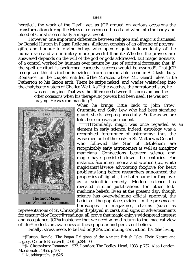heretical, the work of the Devil; yet, as JCP argued on various occasions the transformation during the Mass of consecrated bread and wine into the body and blood of Christ is essentially a magical event.

However, one important difference between religion and magic is discussed by Ronald Hutton in *Pagan Religions*: Religion consists of an offering of prayers, gifts, and honour to divine beings who operate quite independently of the human race and are infinitely more powerful than it. Whether the prayers are answered depends on the will of the god or gods addressed. But magic consists of a control worked by humans over nature by use of spiritual forces so that, if the spell or ritual is performed correctly, success would be assured<sup>19</sup>. That JCP recognized this distinction is evident from a memorable scene in *A Glastonbury Romance*, in the chapter entitled aThe Miracle, where Mr. Geard takes Tittie Petherton to his Saxon arch. There he strips naked, and wades waist-deep into the chalybeate waters of Chalice Well. As Tittie watches, the narrator tells us, he

was not praying. That was the difference between this occasion and the other occasions when his therapeutic powers had been used. He was not praying. He was commanding.<sup>20</sup>



The tarot Magus *from Wikimedia Commons*

When he brings Tittie back to John Crow, Crummie, and Solly Lew who had been standing guard, she is sleeping peacefully. So far as we are told, her cure was permanent.

†††††††Similarly, magic was once regarded as an element in early science. Indeed, astrology was a recognized forerunner of astronomy; thus the wise men out of the east in St. Matthew s Gospel who followed the Star of Bethlehem are recognizably early astronomers as well as åmagi or magicians. Connections between science and magic have persisted down the centuries. For instance, acunning men†ã†and women (i.e., white magicians)†ã†were advocating foxglove for heart problems long before researchers announced the properties of *digitalis*, the Latin name for foxglove, as a scientific remedy. Modern science has revealed similar justifications for other folkmedicine beliefs. Even at the present day, though science has overwhelming *official* approval, the beliefs of the populace, evident in the presence of horoscopes in magazines, charms (such as

representations of St. Christopher displayed in cars), and signs or advertisements for teacup†ã†or Tarot†ã†readings, all prove that magic enjoys widespread interest and acceptance. JCP s insistence that we need a bold return to the *magical* view of life<sup>21</sup> reflects an awareness of these popular and persistent beliefs.

Finally, stress needs to be laid on  $\overline{JCP}$  s continuing conviction that the living

<sup>&</sup>lt;sup>19</sup> Hutton, Ronald. *The Pagan Religions of the Ancient British Isles: Their Nature and Legacy*. Oxford: Blackwell, 2001, p.289-90

<sup>20</sup> †*A Glastonbury Romance*. 1932. London: The Bodley Head, 1933, p.737. Also London: Macdonald, 1955, p.707

<sup>21</sup> *Autobiography*, p.626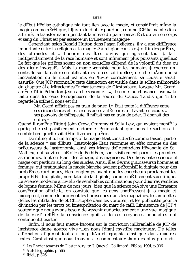### ttä**v**tättt

le dÈbut l'Eglise catholique nia tout lien avec la magie, et considÈrait mÍme la magie comme hErEtique, l Juvre du diable; pourtant, comme JCP l a maintes fois affirmE, la transformation pendant la messe du pain consacrE et du vin en corps et sang du Christ est par essence un ÈvÈnement magique.

Cependant, selon Ronald Hutton dans Pagan Religions, il y a une diffErence importante entre la religion et la magie: La religion consiste  $\ddagger$  offrir des pri Eres. des offrandes et  $\ddagger$  honorer des Ítres divins qui agissent tout  $\ddagger$  fait indEpendamment de la race humaine et sont infiniment plus puissants quelle. Le fait que les priEres soient ou non exaucEes dEpend de la volontE du dieu ou des dieux invoquEs. Mais la magie consiste pour les humains ‡ exercer un contrUle sur la nature en utilisant des forces spirituelles, de telle faAon que si l incantation ou le rituel est mis en *fluvre* correctement, sa rEussite serait assurÈe. Que JCP reconnaÓt cette distinction est visible dans la scËne mÈmorable du chapitre aLe Miracle des Enchantements de Glastonbury, lorsque Mr. Geard amËne Tittie Petherton ‡ son arche saxonne. L‡, il se met nu et avance jusqu‡ la taille dans les eaux ferrugineuses de la source du Calice. Tandis que Tittie regarde la scÊne il nous est dit:

Mr. Geard n Ètait pas en train de prier. L‡ Ètait toute la diffÈrence entre ces circonstances et les circonstances antErieures o il avait eu recours  $\ddagger$ ses pouvoirs de thErapeute. Il n Etait pas en train de prier. Il donnait des  $\overline{\text{ordres}}$ <sup>16</sup>

Quand il ramËne Tittie ‡ John Crow, Crummy et Solly Lew, qui avaient montÈ la garde, elle est paisiblement endormie. Pour autant que nous le sachions, il semble bien qu elle soit dÈfinitivement guÈrie.

De mime, il fut un temps o la magie Etait considÈrÈe comme faisant partie de la science  $\ddagger$  ses dEbuts. L astrologie Etait reconnue en effet comme un des prÈcurseurs de l'astronomie; ainsi les Mages d'Orient dans l'Evangile de St Mathieu, qui suivirent l'Etoile de BethlEem, sont visiblement parmi les premiers astronomes, tout en Ètant des amagi, des magiciens. Des liens entre science et magie ont perdurÈ au long des siEcles. Ainsi, ales devins guErisseurs, hommes et femmes, qui pratiquaient la magie blanche avaient prÈconisÈ la digitale pour des problEmes cardiagues, bien longtemps avant que les chercheurs proclament les propriÈtÈs du*digitalis*, nom latin de la digitale, comme mÈdicament scientifique. La science moderne a rÈvÈlÈ de semblables confirmations pour d autres remÊdes de bonne femme. Mime de nos jours, bien que la science reÁoive une Ecrasante consEcration *officielle*, on constate que les gens s intEressent  $\ddagger$  la magie et l acceptent, comme le prouvent les horoscopes dans les magazines, les amulettes (telles les mEdailles de St Christophe dans les voitures), et les publicitEs pour la divination par les tarots ou l interprEtation du marc de cafE. L insistance de JCP  $\ddagger$ soutenir que nous avons besoin de revenir audacieusement  $\ddagger$  une vue *magique* de la vie <sup>17</sup> reflÈte la conscience qu'il a de ces croyances populaires qui continuent  $\ddagger$  exister.

Enfin, il nous faut mettre l accent sur la conviction inEbranlable de JCP de l existence d une source vive  $\dagger$ ...  $\phi$ n nous [d un] myst $\ddot{E}$ re magique <sup>18</sup>. De telles affirmations figurent tout au long d Autobiographie ainsi que dans d'autres textes. C est ainsi que nous trouvons le commentaire: l un des plus profonds

<sup>&</sup>lt;sup>16</sup> Les Enchantements de Glastonbury, tr. J. Queval, Gallimard, Biblos, 1991, p.906

<sup>&</sup>lt;sup>17</sup> Autobiographie, p.565

<sup>&</sup>lt;sup>18</sup> Ibid., p.326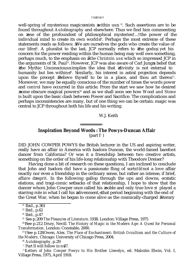well-spring of mysterious magic exists within us  $22$ . Such assertions are to be found throughout *Autobiography* and elsewhere. Thus we find him commenting on one of the profoundest of philosophical mysteries†...†the power of the individual mind to create its own world  $^{23}$ . Perhaps the most extreme of these statements reads as follows: We are ourselves the gods who create the value of our life<sup> $24$ </sup>. A pluralist to the last, JCP normally refers to the gods, yet his concern for the power residing within the human being may well owe something, perhaps much, to the emphasis on *athe Christ in us* which so impressed JCP in the arguments of St. Paul<sup>25</sup>. However, JCP was also aware of Carl Jung s belief that the Mythic Unconscious implies the idea that divinity is not external to humanity but lies within<sup>26</sup>. Similarly, his interest in astral projection depends upon the precept Believe thyself to be in a place, and thou art there  $^{27}$ . Moreover, we may be equally conscious of the number of times the words *power* and *control* have occurred in this article*.* From the start we saw how he desired ≥some obscure magical power≤ <sup>28</sup> and as we shall soon see how *Wood and Stone* is built upon the basic clash between Power and Sacrifice. The complications and perhaps inconsistencies are many, but of one thing we can be certain: magic was central to JCP throughout both his life and his writing.

### W.J. Keith

# **Inspiration Beyond Words : The Powys-Duncan Affair**

(part  $I<sup>1</sup>$  )

DID JOHN COWPER POWYS the British lecturer in the US and aspiring writer, really have an affair in America with Isadora Duncan, the world-famed barefoot dancer from California? Or was it a friendship between two creative artists, something on the order of his life-long relationship with Theodore Dreiser?

Having done a bit of research on these questions, I am inclined to conclude that John and Isadora did have a passionate fling of sorts†ã†not a love affair exactly nor even a friendship in the ordinary sense, but rather an intense, if brief, *affaire d esprit.* In the following gallop through the ups and downs, ecstatic elations, and tragi-comic setbacks of that relationship, I hope to show that the dancer whom John Cowper once called his noble and only true love <sup>2</sup> played a starring role in what I call his alivenment, that period beginning with the end of the Great War, when he began to come alive as the cosmically-charged literary

 $\frac{22}{2}$  Ibid., p.361

<sup>23</sup> Ibid., p.62

<sup>24</sup> Ibid., p.47

<sup>25</sup> See p.209 *The Pleasures of Literature*. 1938. London: Village Press, 1975

<sup>26</sup> †See p.212 Drury, Nevill. *The History of Magic in the Modern Age: A Quest for Personal Transformation*. London: Constable, 2000.

<sup>27</sup> †See p.128 Owen, Alex. *The Place of Enchantment: British Occultism and the Culture of the Modern*. Chicago: University of Chicago Press, 2004.

<sup>28</sup> *Autobiography*, p.29

 $1$  Part II will follow in n 27.

<sup>2</sup> †*Letters of John Cowper Powys to His Brother Llewelyn*, ed. Malcolm Elwin, Vol. I, Village Press, 1975, April 1918.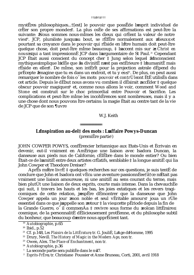myst Eres philosophiques...† [est] le pouvoir que poss Ede l'esprit individuel de crèter son propre monde <sup>19</sup>. La plus oste de ses affirmations est peut-ttre la suivante: Nous sommes nous-mimes les dieux qui crèment la valeur de notre vie <sup>20</sup>. JCP, pluraliste jusqu au bout, se rÈfËre normalement aux dieux et pourtant sa croyance dans le pouvoir qui rÈside en l'ître humain doit peut-Itre quelque chose, doit peut-ftre mime beaucoup,  $\ddagger$  l accent mis sur Christ en nous qui a tant impression E JCP dans l argumentaire de St Paul.<sup>21</sup> Cependant JCP Etait aussi conscient du concept cher  $\ddagger$  Jung selon lequel l Inconscient mythique implique l id E que la divinit E n est pas ext E rieure  $\ddagger$  l humanit E mais rÈside en elle <sup>22</sup>. De mime, son intÈrit pour la projection astrale dÈpend du pr $\hat{E}$ cepte Imagine que tu es dans un endroit, et tu y es  $^{23}$ . De plus, on peut aussi remarquer le nombre de fois o les mots *pouvoir* et *contrUle*ont EtE utilisEs dans cet article. Depuis le dÈbut nous avons vu combien il dÈsirait accÈder ‡ quelque obscur pouvoir magique <sup>24</sup> et, comme nous allons le voir, comment Wood and Stone est construit sur le choc primordial entre Pouvoir et Sacrifice. Les complications et peut-Ítre mĺme les incohÈrences sont nombreuses, mais il y a une chose dont nous pouvons Itre certains: la magie Etait au centre tant de la vie de JCP que de son ¶uvre

### W.J. Keith

## L Inspiration au-del‡ des mots : L affaire Powys-Duncan  $(premi\ddot{E}re partie<sup>i</sup>)$

JOHN COWPER POWYS, confErencier britannique aux Etats-Unis et Ecrivain en devenir, eut-il vraiment en AmErique une liaison avec Isadora Duncan, la danseuse aux pieds nus de Californie, cElEbre dans le monde entier? Ou bien Ètait-ce de l'amitiÈ entre deux artistes crÈatifs, semblable ‡ la longue amitiÈ qui lia **John Cowper et Theodore Dreiser?** 

AprËs m Itre livrÈ ‡ quelques recherches sur ces questions, je suis tentÈ de conclure que John et Isadora ont vÈcu une aventure passionnÈee†ã†ce n Ètait pas vraiment une liaison amoureuse, ni une amitiÈ au sens courant du terme, mais bien plutÙt une liaison de deux esprits, courte mais intense. Dans la chevauchÈe qui suit. ‡ travers les hauts et les bas, les joies extatiques et les revers tragicomiques de cette relation, j'esp<sup>end</sup>e de demontrer que la danseuse que John Cowper appela un jour mon noble et seul vEritable amour <sup>2</sup> joua un rÙle essentiel dans ce que j appelle son retour  $\ddagger$  la vie, cette pEriode depuis la fin de la Grande Guerre, o il commenÁa ‡ revivre sous forme du volcan littÈraire cosmique, de la personnalitÈ dÈlicieusement protÈenne, et du philosophe subtil du bonheur, que beaucoup d entre nous apprÈcient tant.

<sup>&</sup>lt;sup>19</sup> Autobiographie, p.65

 $20$  Ibid., p.52

<sup>&</sup>lt;sup>21</sup> Cf. p.148, Les Plaisirs de la LittErature tr. G. JouliE, L Age d Homme, 1995

<sup>&</sup>lt;sup>22</sup> Drury, Nevill. The History of Magic in the Modern Age, non tr.

<sup>&</sup>lt;sup>23</sup> Owen, Alex. The Place of Enchantment, non tr.

<sup>&</sup>lt;sup>24</sup> Autobiographie, p.36

 $1$  La seconde partie sera publi $\tilde{E}$ e dans le n 27.

<sup>&</sup>lt;sup>2</sup> Esprits-FrEres tr. Christiane Poussier et Anne Bruneau, Corti, 2001, avril 1918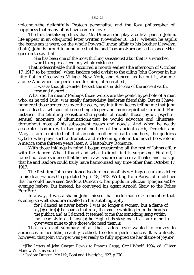volcano, the delightfully Protean personality, and the foxy philosopher of happiness that many of us have come to love.

The first tantalizing clues that Ms. Duncan did play a critical part in John s life appear in an oft-quoted letter written November 18, 1917, wherein he åspills the beans, as it were, on the whole Powys-Duncan affair to his brother Llewelyn (Lulu). John is proud to announce that he and Isadora harmonised at once. He goes on to say that

She has been one of the most thrilling sensations†≠†but that is a wretched word to express it† †of my whole existence.

That indescribable thrill occurred a month earlier (the afternoon of October 17, 1917, to be precise), when Isadora paid a visit to the ailing John Cowper in his little flat in Greenwich Village, New York, and danced, as he put it, for me alone. And when she performed for him, John recalled ,

It was as though Demeter herself, the *mater dolorosa* of the ancient earth, rose and danced.

What did he mean? Perhaps those words are the poetic hyperbole of a man who, as he told Lulu, was really flattered by Isadora s friendship. But as I have pondered those sentences over the years, my intuition keeps telling me that John had at least a whisper of something deeper and more spiritual in mind. For instance, the thrilling sensation he speaks of recalls those joyful, psychosensual moments of illumination that he would advocate and illustrate throughout most of his subsequent essays and novels. And when he neatly associates Isadora with two great mothers of the ancient earth, Demeter and Mary, I am reminded of that archaic mother of earth mothers, the goddess Cybele, who plays such a dramatic and redeeming role in the novel he wrote in America some thirteen years later, *A Glastonbury Romance*.

With those inklings in mind I began researching all the rest of John s affair with the dancer. What I found and what I didn  $t$  find is surprising. First off, I found no clear evidence that he ever saw Isadora dance in a theater and no sign that he and Isadora could truly have harmonized any time other than October 17, 1917.

The first time John mentioned Isadora in any of his writings occurs in a letter to his dear Frances Gregg, dated April 18, 1913. Writing from Paris, John told her that he could have seen Isadora Duncan & her pupils in Gluck s *Iphigenia* the evening before. But instead, he conveyed his agent Arnold Shaw to the Folies  $BergEre<sup>3</sup>$ 

In a way, it was a shame John missed that performance. I remember that evening so well, Isadora recalled in her autobiography

for I danced as never before. I was no longer a woman, but a flame of joy†≠†a fire†≠†the sparks that rose, the smoke whirling from the hearts of the publica and as  $\overline{I}$  danced, it seemed to me that something sang within my heart Life and Love††the Highest Ecstasy††and all are mine to give† †are mine to give those who need them.<sup>4</sup>

That is an apt summary of all that Isadora ever wanted to convey to audiences in her lithe, scantily-clothed, free-form performances. It is unlikely, however, that John Cowper was yet ready to fully appreciate her flame of joy or

<sup>&</sup>lt;sup>3</sup> *†The Letters of John Cowper Powys to Frances Gregg*; Cecil Woolf, 1994, ed. Oliver Marlow Wilkinson, ed

<sup>4</sup> Isadora Duncan, *My Life*; Boni and Liveright,1927, p.270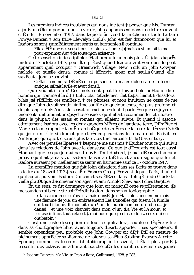### ttät1tätt

Les premiers indices troublants qui nous incitent  $\ddagger$  penser que Ms. Duncan a jouE un rUle important dans la vie de John apparaissent dans une lettre souvent cittée du 18 novembre 1917, dans laquelle ail vend la mEche sur toute l'affaire Powys-Duncan  $\ddagger$  son fr $\ddot{E}$ re Llewelyn (Lulu). John est fier d annoncer que lui et Isadora se sont immEdiatement sentis en harmonie. Il continue:

Elle a ÈtÈ une des sensations les plus excitantes<sup>†</sup> † mais c est un faible mot pour exprimer Aa<sup>†</sup> † de toute mon existence.

Cette sensation indescriptible s Etait produite un mois plus tÙt (dans l aprEsmidi du 17 octobre 1917, pour Itre prEcis) quand Isadora vint voir dans le petit appartement qu il occupait  $\ddagger$  Greenwich Village, New York un John Cowper malade, et quelle dansa, comme il l'Ecrivit, pour moi seul. Quand elle s exEcuta. John se souvint

C Etait comme si DEmEter en personne, la mater dolorosa de la terre antique, s Etait levEe et avait dansE.

Que voulait-il dire? Ces mots sont peut-Ítre l'hyperbole poÈtique d'un homme qui, comme il le dit  $\ddagger$  Lulu, Ètait rÈellement flattE par l amitiÈ d Isadora. Mais j ai rÈflÈchi ces annÈes-ci ‡ ces phrases, et mon intuition ne cesse de me dire que John devait sentir l'infime souffle de quelque chose de plus profond et de plus spirituel. Ainsi, la sensation excitante dont il parle Evoque ces joyeux moments d'illumination psycho-sensuels qu'il allait recommander et illustrer dans la plupart des essais et romans qui allaient suivre. Et quand il associe adroitement Isadora avec les deux grandes MËres de l'antique terre. DEmEter et Marie, cela me rappelle la mÊre archaÔque des mÊres de la terre, la dÈesse CybËle qui joue un rUle si dramatique et rEdempteur dans le roman qu'il Ecrivit en AmEtique, quelque treize ans plus tard, Les Enchantements de Glastonbury.

Avec ces pensEes Eparses ‡ l esprit je me suis mis ‡ Etudier tout ce qui suivit dans les relations de John avec la danseuse. Ce que je dEcouvris est tout aussi Etonnant que ce que je n ai pas trouvE. Tout d abord, je n ai dEcouvert aucune preuve qu'il ait jamais vu Isadora danser au thÈ, tre, et aucun signe que lui et Isadora auraient pu rÈellement se sentir en harmonie sauf ce 17 octobre 1917.

La premi $\overline{E}$ re mention que fait John d Isadora dans ses Ecrits se trouve dans la lettre du 18 avril 1913 ‡ sa chËre Frances Gregg. Ecrivant depuis Paris, il lui dit qu il aurait pu voir Isadora Duncan et ses ElEves dans l IphigEniede Gluck la veille plutUt que d emmener son agent et ami Arnold Shaw aux Folies BergEre.

En un sens, ce fut dommage que John ait manquE cette reprEsentation. Je me souviens si bien cette soirÈe! dit Isadora dans son autobiographie

Je dansai comme je n'avais jamais dansÈ! Je n'Ètais plus une femme mais une flamme de joie, un embrasement! Les Etincelles qui fusent, la fumEe qui tourbillonne. Il montait du c¶ur du public comme un adieu.... je dansai... et une voix chantait dans mon c¶ur: La Vie et l'Amour, et l'extase infinie, tout cela est  $\ddagger$  moi pour que j'en fasse don  $\ddagger$  ceux qui en ont besoin.<sup>3</sup>

C est une juste description de tout ce qu Isadora, souple et legere vitue dans sa chorÈgraphie libre, avait toujours dÉsirÈ apporter ‡ ses spectateurs. Il semble cependant peu probable que John Cowper ait dÈi‡ ÈtÈ en mesure de pleinement apprÈcier sa flamme de joie ou sa Plus Sublime Extase. A cette Epoque, comme les lecteurs d'Autobiographie le savent, il Etait plus portE # ressentir des extases en admirant bouche bÈe les membres divins des jeunes

<sup>&</sup>lt;sup>3</sup> Isadora Duncan, Ma Vie, tr. Jean Allary, Gallimard, 1928, p.283.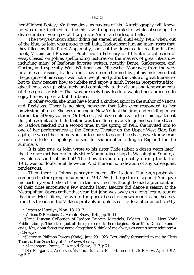### ††ã†12†ã†

her Highest Ecstasy. In those days, as readers of his *Autobiography* will know, he was more inclined to find his jaw-dropping ecstasies while observing the divine limbs of young sylph-like girls in American burlesque halls.

The Powys-Duncan affair didn t get started at all until early 1915, when, out of the blue, as John was proud to tell Lulu, Isadora sent him so many roses that they filled my little flat. 5 Apparently, she sent the flowers after reading his first book, *Visions and Revisions*. Published in February of 1915, it is a collection of essays based on John s spellbinding lectures on the masters of great literature, including many of Isadora s favorite writers, notably Dante, Shakespeare, and Goethe, and especially Walt Whitman and Nietzsche. Moreover, from the very first lines of *Visions*, Isadora must have been charmed by John s insistence that the purpose of his essays was not to weigh and judge the value of great literature, but to show readers how to imbibe and enjoy it with Protean receptivity †ã†to give themselves up, absolutely and completely, to the visions and temperaments of these great artists.  $\degree$  That was precisely how Isadora wanted her audiences to enjoy her own great art of the dance.

In other words, she must have found a kindred spirit in the author of *Visions and Revisions*. There is no sign, however, that John ever responded to her bravissimo of roses. She was dancing in New York at the time, and residing in her studio, the åDionysion on 23rd Street, just eleven blocks north of his apartment. But John admitted to Lulu that he was then too nervous to go and see her. Even so, Isadora reached out a second time. In the spring of 1915, she invited him to one of her performances at the Century Theater on the Upper West Side. But again, he was either too nervous or too busy to go and see her (as we know from a contrite letter of apology he sent to Isadora after sailing to England for the summer<sup>7</sup>).

It is also true, as John wrote to his sister Katie (albeit a dozen years later), that he once met Isadora in his sister Marian s lace shop in Washington Square, a few blocks south of his flat.<sup>8</sup> That how-do-you-do, probably during the fall of 1916, was no doubt brief, however. And there is no indication of any subsequent rendezvous.

Then there is John's panegyric poem, To Isadora Duncan, probably composed in the spring or summer of 1917. With the gesture of a god,  $\overrightarrow{f}$  You gave me back my youth, he tells her in the first lines, as though he had a premonition of their close encounter a few months later.<sup>9</sup> Isadora did dance a season at the Metropolitan Opera earlier that year, but John was away on a long lecture tour at the time. Most likely, he wrote the poem based on news reports and hearsay from his friends in the Village, probably in defense of Isadora after an article<sup>10</sup> by

<sup>8</sup> †Letter to Philippa Powys (Katie), June 29, 1928. Text kindly forwarded to me by Chris Thomas, Hon Secretary of The Powys Society.

<sup>9</sup> *Mandragora: Poems,* G. Arnold Shaw, 1917, p.71

<sup>5</sup> *Letters to Llewelyn*, Nov. 18, 1917

<sup>6</sup> *Visions & Revisions*, G. Arnold Shaw, 1915, pp.10-11

<sup>7</sup> †Irma Duncan Collection of Isadora Duncan Materials, Folders 109-111, New York Public Library. The letter (out of three) referred to here begins, Dear Miss Duncan, and ends, Yes, don t forget my name altogether & think of me always as your sincere admirer† J.C.Powys≤

<sup>&</sup>lt;sup>10</sup> †See Margaret C. Anderson, åIsadora Duncan s Misfortune *,The Little Review*, April 1917, pp.5-7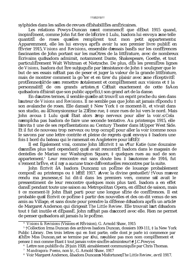### ttã#3tãtt

sylphides dans les salles de revues dÈshabillÈes amÈricaines.

Les relations Powys-Duncan n ont commencÈ que dÈbut 1915 quand. inopinÈment. comme John fut fier de l Ècrire ‡ Lulu, Isadora lui envoya une telle quantitÈ de roses quelles remplirent tout mon petit appartement. Apparemment, elle les lui envoya apr<sup>E</sup>s avoir lu son premier livre publiE en fEvrier 1915. *Visions and Revisions*, ensemble d essais basEs sur les confErences fascinantes de John portant sur les maÓtres de la littÈrature, avec de nombreux Ecrivains qu Isadora admirait, notamment Dante, Shakespeare, Goethe, et tout particuli Erement Walt Whitman et Nietzsche. De plus, des les premiers lignes de Visions, Isadora dut Ítre subjuguÈe par l insistance de John ‡ souligner que le but de ses essais n Etait pas de peser et juger la valeur de la grande littErature, mais de montrer comment la go<sup>°</sup>ter et en tirer du plaisir avec une rÈceptivitÈ protEenne † a † de s en remettre totalement et complEtement aux visions et ‡ la personnalitE de ces grands artistes.<sup>4</sup> C Etait exactement de cette faAon qu Isadora dÈsirait que son public apprÈci, t son grand art de la danse.

En d autres termes, il semble qu elle ait trouvE un esprit proche du sien dans l auteur de Visions and Revisions. Il ne semble pas que John ait jamais rÈpondu ‡ son avalanche de roses. Elle dansait  $\ddagger$  New York  $\ddagger$  ce moment-l $\ddagger$ , et vivait dans son studio, au aDionysion sur la 23Eme rue,  $\ddagger$  onze rues de lui vers le nord. Mais John avoua ‡ Lulu quil Ètait alors trop nerveux pour aller la voir. Cela n emplcha pas Isadora de faire une seconde tentative. Au printemps 1915, elle l invita  $\ddagger$  une de ses reprÈsentations au Century Theater dans l Upper West Side. Et il fut de nouveau trop nerveux ou trop occupÈ pour aller la voir (comme nous le savons par une lettre contrite et pleine de regrets qu'il envoya  $\ddagger$  Isadora une fois  $\ddagger$  bord du bateau qui le ramenait en Angleterre pour l EtE).

Il est Egalement vrai, comme John l Ecrivit  $\ddagger$  sa s¶ur Katie (une douzaine d annet plust and cependant) quil avait rencontret Isadora dans le magasin de dentelles de Marian sur Washington Square, ‡ quelques rues au sud de son appartement.<sup>6</sup> Leur rencontre eut sans doute lieu  $\ddagger$  lautomne de 1916, fut s rement br Eve, et il n y a aucune trace d Eventuelles rencontres par la suite.

John Ecrivit aA Isadora Duncan, un poËme de louange probablement composed au printemps ou  $\ddagger$  l EtE 1917. Avec la divine gestuellet/t Vous m avez rendu ma jeunesse, <sup>7</sup> lui dit-il dans les premiers vers, comme s il avait le pressentiment de leur rencontre quelques mois plus tard. Isadora a en effet dansÈ pendant toute une saison au Metropolitan Opera, en dÈbut de saison, mais ‡ ce moment-l‡ John Ètait parti pour une longue sÈrie de confÈrences. Il est probable qu il Ecrivit ce poeme  $\ddagger$  partir des nouvelles et des on-dit venus de ses amis au Village, et sans doute pour prendre la dÉfense d Isadora aprÊs un article de Margaret Anderson qui dirigeait The Little Review. Elle trouvait l art d Isadora tout ‡ fait inutile et dÈpassÈ. John n Ètait pas d accord avec elle. Rien ne permet de penser qu Isadora ait jamais lu le poÊme.

Visions & Revisions (Visions et REvision), G. Arnold Shaw, 1915

<sup>&</sup>lt;sup>5</sup> †Collection Irma Duncan des archives Isadora Duncan, dossiers 109-111, ‡ la New York Public Library. Des trois lettres qui en font partie, celle dont je parle ici commence par ChËre Miss Duncan, et se termine par Oui, n oubliez pas mon nom complËtement et pensez ‡ moi comme Ètant ‡ tout jamais votre sincËre admirateur† † J.C.Powys

<sup>&</sup>lt;sup>6</sup> Lettre non publiÈe du 29 juin 1928, aimablement communiquÈe par Chris Thomas.

<sup>&</sup>lt;sup>7</sup> Mandragora: Poems, non tr., G. Arnold Shaw, 1917

<sup>&</sup>lt;sup>8</sup> Voir Margaret Anderson, alsadora Duncan s Misfortune, The Little Review, avril 1917.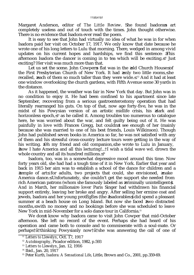Margaret Anderson, editor of *The Little Review*. She found Isadoras art completely useless and out of touch with the times. John thought otherwise. There is no evidence that Isadora ever read the poem.

It is easy to see that John had virtually no idea of what he was in for when Isadora paid her visit on October 17, 1917. We only know that date because he wrote one of his long letters to Lulu that morning. There, wedged in among vivid updates on his current hopes and hardships, we find this sentence: This afternoon Isadora the dancer is coming in to tea which will be exciting.  $\frac{11}{11}$  Just exciting? Her visit was much more than that.

Let us set the scene. John Cowper s flat was in the old Church House of the First Presbyterian Church of New York. It had only two little rooms, he recalled, each of them so much taller than they were wide.  $12$  And it had at least one window overlooking the church gardens, with Fifth Avenue some 30 yards in the distance.

As it happened, the weather was fair in New York that day. But John was in no condition to enjoy it. He had been confined to his apartment since late September, recovering from a serious gastroenterostomy operation that had literally rearranged his guts. On top of that, now age forty-five, he was in the midst of his Powysian version of an artistic midlife crisis, his dark and horizonless epoch, <sup>13</sup> as he called it. Among troubles too numerous to catalogue here, he was worried about the war, and felt guilty being out of it. He was painfully in love with Frances Gregg, but couldn t see enough of her (mainly because she was married to one of his best friends, Louis Wilkinson). Though John had published seven books in America so far, he was not satisfied with any of them and his stressful cross-country lecture tours were getting in the way of his writing. Oh my friend and old companion, he wrote to Lulu in January, ≥how I hate America and all this lecturing!...†I wish a tidal wave wd. drown the whole country and all its hundred millions.<sup>14</sup>

Isadora, too, was in a somewhat depressive mood around this time. Now forty years old, she had had a tough time of it in New York. Earlier that year and back in 1915 her aim was to establish a school of the dance for children and a temple of art for adults, two projects that could, she envisioned, make America dance. Unfortunately, she couldn't get the support she needed from rich American patrons (whom she famously labeled as criminally unintelligent). And in March, her millionaire lover Paris Singer had withdrawn his financial support entirely, leaving her broke and angry. After selling her ermine coat and jewels, Isadora and her young protÈgÈes (the Isadorables) did spend a pleasant summer at a beach house on Long Island. But now she faced two distracted months, with no money and no bookings before she was scheduled to leave New York in mid-November for a solo dance tour in California.<sup>15</sup>

We don t know why Isadora came to visit John Cowper that mid-October afternoon. She left no record of the event. Perhaps she had heard of his operation and came both to console and to commiserate with a soul-mate. Or perhaps†ã†thinking Powysianly now†ã†she was answering the call of one of

<sup>&</sup>lt;sup>11</sup> Letters to Llewelyn, Oct. 17, 1917

<sup>12</sup> *Autobiography*, Picador edition, 1982, p.593

<sup>13</sup> *Letters to Llewelyn*, Jan. 12, 1916

<sup>&</sup>lt;sup>14</sup> Ibid., Jan. 20, 1917

<sup>15</sup> Peter Kurth, *Isadora: A Sensational Life*, Little, Brown and Co., 2001, pp.359-69.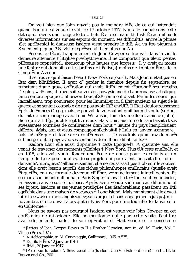#### ttät5tätt

On voit bien que John n avait pas la moindre idÈe de ce qui l'attendait quand Isadora est venue le voir ce 17 octobre 1917. Nous ne connaissons cette date qu‡travers une longue lettre ‡ Lulu Ècrite ce matin-l‡. InsÈrÈe au milieu de diverses informations sur ses espoirs du moment, ses difficultEs, arrive la phrase Cet aprËs-midi la danseuse Isadora vient prendre le thÈ, Áa va Ítre piquant. 9 Seulement piquant? Sa visite reprEsentait bien plus que Áa.

Posons le dÈcor. L appartement de John Cowper se trouvait dans la vieille demeure attenante  $\ddagger$  l Eglise presbytErienne. Il ne comportait que deux petites piËces, se rappelait-il, beaucoup plus hautes que larges <sup>10</sup> Il y avait au moins une fenitre qui donnait sur les jardins de l Eglise,  $\ddagger$  moins de trente mÊtres de la CinquiEme Avenue.

Il se trouve qu il faisait beau ‡ New York ce jour-l‡. Mais John n Ètait pas en Ètat d'en bÈnÈficier. Il avait d° garder la chambre depuis fin septembre, se remettant d une grave operation qui avait litteralement rearrange ses intestins. De plus,  $\ddagger$  45 ans, il traversait sa version powysienne de l andropause artistique, une sombre Èpoque  $\ddagger$  l horizon bouch  $\ddot{E}$ <sup>11</sup> comme il disait. Parmi les soucis qui l accablaient, trop nombreux pour les EnumErer ici, il Etait anxieux au sujet de la guerre et se sentait coupable de ne pas avoir ÈtÈ enrÙIÈ. Il Ètait douloureusement Epris de Frances Gregg, mais ne pouvait la voir autant qu il l aurait voulu (surtout du fait de son mariage avec Louis Wilkinson, l'un des meilleurs amis de John). Bien qu il ait dÈi<sup> $\ddagger$ </sup> publiÈ sept livres aux Etats-Unis, aucun ne le satisfaisait et ses stresssantes tournEes de confErences d un bout  $\ddagger$  l autre du pays l emplchaient d Ecrire. Mais, ami et vieux compagnon Ecrivait-il ‡ Lulu en janvier, comme je hais l AmErique et toutes ces confErences! ... j le voudrais qu un raz-de-marEe submerge tout le pays avec ses centaines de millions d habitants. <sup>12</sup>

Isadora Etait elle aussi dEprimEe ‡ cette Epoque-l‡. A quarante ans, elle venait de traverser des moments pEnibles ‡ New York. Plus tÙt cette annEe-l‡, et en 1915, elle avait voulu fonder une Ècole de danse pour les enfants et un temple de l'art pour adultes, deux projets qui pourraient, pensait-elle, faire danser l AmÈrique. Malheureusement elle ne rÈussissait pas ‡ obtenir le soutien dont elle avait besoin auprEs des riches philanthropes amEricains (quelle avait EtiquetEs, en une formule devenue cElEbre, criminellement inintelligents). Et en mars, son amant millionnaire Paris Singer lui avait retirE tout soutien financier. la laissant sans le sou et furieuse. Apr<sup>E</sup>s avoir vendu son manteau d'hermine et ses bijoux, Isadora et ses jeunes protEgEes (les Isadorables), passErent un EtE agrÈable dans une maison de vacances  $\ddagger$  Long Island. Mais maintenant elle devait faire face  $\ddagger$  deux mois angoissants, sans argent et sans engagements jusqu  $\ddagger$  minovembre, o' elle devait alors quitter New York pour une tournEe de danse solo en Californie.<sup>13</sup>

Nous ne savons pas pourquoi Isadora est venue voir John Cowper en cet aprËs-midi de mi-octobre. Elle ne mentionne nulle part cette visite. Peut-Itre avait-elle entendu parler de son opÈration et Ètait venue et le consoler et

<sup>&</sup>lt;sup>9</sup> *Letters of John Cowper Powys to His Brother Llewelyn*, non tr., ed. M. Elwin, Vol. I, Village Press, 1975.

<sup>&</sup>lt;sup>10</sup> Autobiographie, tr. M. Canavaggia, Gallimard, 1965, p.535.

<sup>&</sup>lt;sup>11</sup> Esprits- $\overline{Fr}$ Eres, 12 janvier 1916

 $12$  Ibid., 20 janvier 1917.

<sup>&</sup>lt;sup>13</sup> †Peter Kurth, *Isadora: A Sensational Life* (Isadora: Une Vie Extraordinaire) non tr., Little, Brown and Co., 2001.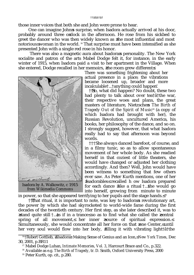those inner voices that both she and John were prone to hear.

One can imagine John s surprise, when Isadora actually arrived at his door, probably around three o clock in the afternoon. He rose from his sickbed to greet the dancer who was then widely known as the most influential and most notorious woman in the world. <sup>16</sup> That surprise must have been intensified as she presented John with a single red rose in his honor.

There was also a magnetic aura about Isadora s personality. The New York socialite and patron of the arts Mabel Dodge felt it, for instance, in the early winter of 1915, when Isadora paid a visit to her apartment in the Village. When she entered, Dodge recalled in her memoirs, the room grew different :



Isadora by A. Walkowitz, *c* 1915 *from Wikimedia Commons*

There was something frightening about her actual presence in a place; the vibrations became loosened up, broader and more incalculable†...†anything could happen?

†††So, what did happen? No doubt, these two had plenty to talk about over tea†ã†the war, their respective woes and plans, the great masters of literature, Nietzsche s The Birth of *Tragedy Out of the Spirit of Music*18 (a copy of which Isadora had brought with her), the Russian Revolution, uncultured America, his books, her philosophy of the dance, and so on. I strongly suggest, however, that what Isadora really had to say that afternoon was beyond words.

†††She always danced barefoot, of course, and in a filmy tunic, so as to allow spontaneous movement of her whole body. As she readied herself in that coziest of little theaters, she would have changed or adjusted her clothing accordingly. And then? Well, John would have been witness to something that few others ever saw. As Peter Kurth mentions, one of her ≥Isadorables≤ recalled h ow Isadora prepared for each dance like a ritual  $\uparrow$ ...\$he would go into herself, growing from minute to minute

in power, so that she appeared terrifying to her pupils and the stage hands.  $19$ 

††That ritual, it is important to note, was key to Isadora s revolutionary art, the power by which she had skyrocketed to world-wide fame during the first decades of the twentieth century. Her first step, as she later described it, was to stand quite still †... $\frac{1}{4}$ s if in a trance so as to find what she called the central spring of all movement, her inner source of spiritual expression. Simultaneously, she would concentrate all her force on that one Center, until her very soul would flow into her body, filling it with vibrating light†ã†the

<sup>&</sup>lt;sup>16</sup>†Robert Gottlieb, àIsadora: Making Sense of Genius and an Icon, *New York Times*, Dec 30, 2001, p.BR11

<sup>17</sup> Mabel Dodge Luhan, *Intimate Memories, Vol. 3*, Harcourt Brace and Co., p.322.

<sup>18</sup> Available as e.g. *The Birth of Tragedy*, tr. D. Smith, Oxford University Press, 2000

<sup>19</sup> Peter Kurth, op. cit., p.280.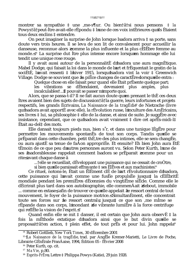montrer sa sympathie  $\ddagger$  une , me-s¶ur. Ou bien† $\ddagger$ a $\ddagger$ si nous pensons  $\ddagger$  la Powys†ã†peut-Ítre avait-elle rÈpondu ‡ l une de ces voix intÈrieures qu ils Ètaient tous deux enclins <sup> $t$ </sup> entendre.

On peut imaginer la surprise de John lorsque Isadora arriva  $\ddagger$  sa porte, sans doute vers trois heures. Il se leva de son lit de convalescent pour accueillir la danseuse, reconnue alors comme la plus influente et la plus cElEbre femme au monde.<sup>14</sup> La surprise dut Itre plus intense encore lorsqu en hommage elle lui tendit une unique rose rouge.

Il y avait aussi autour de la personnalitE d Isadora une aura magnÈtique. Mabel Dodge, qui faisait la loi dans le monde de l art et frÈquentait le gratin de la sociÈtÈ, l'avait ressenti ‡ l'hiver 1915, lorsque Isadora vint la voir ‡ Greenwich Village. Dodge se souvient que la pi $\overline{E}$ ce changea de caract $\overline{E}$ re lorsquelle entra :

Quelque chose en elle faisait peur quand elle Etait prEsente quelque part;

vibrations se dÈtendaient, devenaient plus amples, plus les 

Alors, que se passa-t-il? Il ne fait aucun doute qu en prenant le thE ces deux Ítres avaient bien des sujets de discussion at la guerre, leurs infortunes et projets respectifs, les grands Ecrivains, La Naissance de la tragEdie de Nietzsche (livre qu Isadora avait apportÈ avec elle), la rÈvolution russe, l'inculture des AmÈricains, ses livres ‡ lui, sa philosophie ‡ elle de la danse, et ainsi de suite. Je suggEre avec insistance, cependant, que ce qu Isadora avait vraiment ± dire cet aprËs-midi-l‡ Etait au-del<sup>†</sup> des mots.

Elle dansait toujours pieds nus, bien s'r, et dans une tunique l'EgEre pour permettre les mouvements spontanEs de tout son corps. Tandis quelle se prÈparait dans cette chambre, petit thÈ, tre des plus intimes, elle se sera changÈe, ou aura ajustÈ sa tenue de fa $\tilde{A}$ on appropriÈe. Et ensuite? Eh bien John aura ÈtÈ tÈmoin de ce que peu d'autres personnes auront vu. Selon Peter Kurth. I une de ses Isadorables se rappelait comment Isadora se prÈparait comme pour un rite avant chaque danse ã

telle se recueillait, dÈveloppant une puissance qui ne cessait de croÓtre.

si bien qu elle paraissait effrayante ‡ ses ElEves et aux machinistes.<sup>6</sup>

Ce rituel, notons-le, Était un ÉlÉment clÉ de l art rÉvolutionnaire d Isadora, cette puissance qui l'avait comme une fuste propulstée jusqu'ant la cElEbritE mondiale pendant les premiEres dEcennies du vingtiEme siEcle. Comme elle le dÈcrirait plus tard dans son autobiographie, elle commenÁait debout, immobile ... comme en extase, afin de trouver ce qu elle appelait le ressort central de tout mouvement, le foyer de la puissance motrice. SimultanEment, elle concentrait toute ses forces sur le ressort central, jusqu  $\ddagger$  ce que son , me mime se rÈpande dans son corps, l'inondant de vibrante lumiÈre à la force centrifuge qui reflEte la vision de l'esprit. 17

Quand enfin elle se mit  $\ddagger$  danser, il est certain que John aura observ $\dot{E}$   $\ddagger$  la fois la mEthode extatique d'Isadora ainsi que le but divin quelle se proposait a fen action,  $\ddagger$  plein effet, de tout pr $\ddot{E}$ s et pour lui. John rappela<sup>8</sup>

<sup>&</sup>lt;sup>14</sup> Robert Gottlieb, New York Times, 30 dEcembre 2001

<sup>&</sup>lt;sup>15</sup> La Naissance de la tragEdie, trad. par AngEle Kremer-Marietti, Le Livre de Poche, Librairie GÈnÈrale FranÁaise, 1994, Èdition 05 - fÈvrier 2008

<sup>&</sup>lt;sup>16</sup> Peter Kurth, op. cit.

<sup>&</sup>lt;sup>17</sup> Ma Vie, p.80.

<sup>&</sup>lt;sup>18</sup> Esprits-Fr $\overline{E}$ res Lettre  $\ddagger$  Philippa Powys (Katie), 29 juin 1928.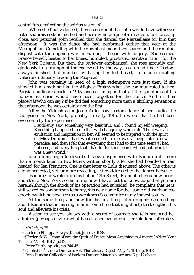central force reflecting the spirit s vision.  $20$ 

 When she finally danced, there is no doubt that John would have witnessed both Isadora s ecstatic method and her divine purpose†ã†in action, full-force, up close, and personal. John recalled that she danced the Marseillaise for him that afternoon.<sup>21</sup> It was the dance she had performed earlier that year at the Metropolitan. Coinciding with the downbeat mood they shared and their mutual disgust with the ongoing war in Europe, it began with tragedy. She seemed France herself, beaten to her knees, humbled, prostrate...†wrote a critic  $22$  for the *New York Tribune*. But then, the reviewer emphasized, she rose proudly and gloriously to a triumph at the end. And by the way, as a grand finale, Isadora always finished that number by baring her left breast, in a pose recalling Delacroix s Liberty Leading the People.  $^{23}$ 

John was certainly in need of a high redemptive note just then. If she showed him anything like the Highest Ecstasy that she communicated to her Parisian audiences back in 1913, one can imagine that all the symptoms of his horizonless crisis would have been forgotten for the nonce. And in their place?†ã†Who can say? If he did feel something more than a thrilling sensation that afternoon, he was certainly not the first.

After the Yiddish actor Jacob Adler saw Isadora dance at her studio, the Dionysion in New York, probably in early 1915, he wrote that he had been overcome by the experience:

I suddenly saw something very beautiful, and I found myself weeping. Something happened to me that will change my whole life. There was an exultation and inspiration in her. All seemed to be inspired with the spirit of Miss Duncan. I had what seemed to me was a peep into a new paradise, and then I felt that everything that I had to this time seen† †I had not seen; and everything that I had to this time heard†≠†I had not heard. It was a new world.<sup>24</sup>

John didn t begin to describe his own experience with Isadora until more than a month later, in two letters written shortly after she had boarded a train headed for San Francisco. One is that letter to Lulu discussed above. The other is a long neglected, yet far more revealing, letter addressed to the dancer herself.<sup>25</sup>

Isadora, he wrote from his flat on 12th Street, I cannot tell you how poor and sterile New York seems to me now I have lost the knowledge that you are here. Although the shock of his operation had subsided, he complains that he is still seized by a whoreson lethargy, his new name for the same old horizonless epoch, which he now sees as a weakness & cowardice of my inmost soul.

At the same time, and now for the first time, John recognizes something about Isadora that is missing in him, something that might help to strengthen his soul and alleviate his crisis.

I seem to see you always with a secret of courage, he tells her. And he admires (perhaps envies) what he calls her wonderful, terrible kind of ecstasy

<sup>20</sup> *My Life*, p.75.

<sup>&</sup>lt;sup>21</sup> Letter to Philippa Powys (Katie), June 29, 1928.

<sup>&</sup>lt;sup>22</sup>†Frederick W. Crone, Does the Spirit of France Mean Anything to America? *New York Tribune*, Mar 4, 1917, p.D2.

 $23$  Peter Kurth, op. cit., pp. 344-45.

<sup>&</sup>lt;sup>24</sup> Quoted in åIsadora Duncan s Art, The Literary Digest, May 1, 1915, p.1018

<sup>&</sup>lt;sup>25</sup> Irma Duncan Collection of Isadora Duncan Materials, see note 7 p. 12 above.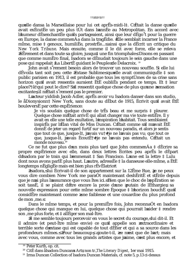quelle dansa la Marseillaise pour lui cet apr $\ddot{E}$ s-midi-l‡. C Etait la danse quelle avait exEcutEe un peu plus tÙt dans l annEe au Metropolitan. En accord avec l humeur dÈsenchantÈe qu ils partageaient, ainsi que leur dÈgo<sup>e</sup>t pour la guerre en Europe, la danse commenÁa dans la tragÈdie. Elle semblait incarner la France mĺme, mise ‡ genoux, humiliÈe, prostrÈe... ainsi que la dÈcrit un critique du New York Tribune. Mais ensuite, comme il le dit avec force, elle se releva fi $\ddot{E}$ rement et dans toute sa gloire, jusqu‡une fin triomphale. Disons en passant que comme numEro final, Isadora se dEnudait toujours le sein gauche dans une pose qui rappelait La LibertE guidant le Peuple de Delacroix. <sup>19</sup>

John avait s'rement besoin alors de trouver un nouveau souffle. Si elle lui dEvoila tant soit peu cette Extase Sublime quelle avait communiquEe ‡ son public parisien en 1913, il est probable que tous les symptUmes de sa crise sans horizon quil avait ressentis auraient EtE oubliers pendant ce temps. Et  $\ddagger$  leur place?† a † qui peut le dire? S il ressentit quelque chose de plus qu une sensation excitante, il n Etait s'rement pas le premier.

L acteur yiddish Jacob Adler, aprËs avoir vu Isadora danser dans son studio, le aDionysion  $\ddagger$  New York, sans doute au dÈbut de 1915, Ecrivit quil avait EtE bouleversE par cette expErience:

Je vis soudain quelque chose de trËs beau et me surpris  $\ddagger$  pleurer. Quelque chose m Etait arrivE qui allait changer ma vie toute entiEre. Il y avait en elle une telle exultation, l'inspiration l'habitait. Tous semblaient inspirÈs par l Èlan vital de Miss Duncan. C Ètait comme s il m avait ÈtÈ donnE de jeter un regard furtif sur un nouveau paradis, et alors je sentis que tout ce que, jusque-l‡, j avais vu† † je ne l avais pas vu; que tout ce que, jusque-l‡, j'avais EcoutE† † je ne l'avais pas entendu. C Etait un monde nouveau.<sup>20</sup>

Ce ne fut que plus d'un mois plus tard que John commen $\overline{A}$ a  $\ddagger$  decrire sa propre expÈrience avec elle, dans deux lettres Ecrites peu aprÈs le dÈpart d Isadora par le train qui l'emmenait  $\ddagger$  San Francisco. L'une est la lettre  $\ddagger$  Lulu dont nous avons parlÈ plus haut. L autre, adressEe  $\ddagger$  la danseuse elle-mime, a EtE longtemps nĒgligĒe mais est bien plus rĒvĒlatrice!

Isadora, lui Ecrivait-il de son appartement sur la 12Eme Rue, je ne peux vous dire combien New York me paraÓt maintenant deshEritE et stErile depuis que je n ai plus l assurance que vous Ítes ici. Bien que le choc de l opEration se soit tassE, il se plaint d'eltre encore la proie d'une putain de l'Ethargie, sa nouvelle expression pour cette mime sombre Epoque ‡ l horizon bouchE qu il considÊre maintenant comme une faiblesse et une couardise du plus profond de mon .me.

Dans le mime temps, et pour la premiere fois, John reconnaÔt en Isadora quelque chose qui manque en lui, quelque chose qui pourrait l aider  $\ddagger$  rendre son, me plus forte, et  $\ddagger$  alleger son mal-tire.

Il me semble toujours percevoir en vous le secret du courage, lui dit-il. Et il admire (et peut-tre mime envie) ce qu'il appelle son extraordinaire et terrible sorte d extase qui est capable de tout dÈfier et qui a sa source dans les profondeurs mimes. Pour beaucoup, ajoute-t-il, ce n est que de l art; mais avec vous, comme avec tous les grands artistes que j aime, c est plus encore, et

<sup>&</sup>lt;sup>19</sup> Peter Kurth, op. cit.

<sup>&</sup>lt;sup>20</sup> CitE dans alsadora Duncan s Art, non tr., The Literary Digest, 1 er mai 1915.

<sup>&</sup>lt;sup>21</sup> Irma Duncan Collection of Isadora Duncan Materials, cf. note 5, p.13 ci-dessus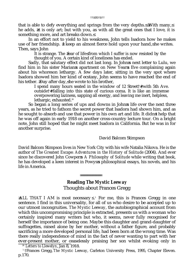that is able to defy everything and springs from the very depths. With many, he adds, it is only art; but with you, as with all the great ones that I love, it is something more, and art breaks down.

In an effort not to yield to his weakness, John tells Isadora how he makes use of her friendship. I keep an almost fierce hold upon your hand, he writes. Then, says John

It is strange. The fear of life from which I suffer is now resisted by the thought of you. A certain kind of loneliness has ended.

Sadly, that salutary effect did not last long. In John s next letter to Lulu, we find him in his sister Marian s apartment on New Year s Eve complaining again about his whoreson lethargy. A few days later, sitting in the very spot where Isadora showed him her kind of ecstasy, John seems to have reached the end of his tether. Day after day, he wrote to his brother,

I spend many hours seated in the window of 12 Street†≠†with 5th Ave. outside†≠†falling into this state of curious coma. It is like an immense overpowering laziness, sapping all energy, and leaving me inert, helpless, lethargic, exhausted.<sup>26</sup>

So began a long series of ups and downs in John s life over the next three years, as he tried to fathom the secret power that Isadora had shown him, and as he sought to absorb and use that power in his own art and life. It didn t help that he was off again in early 1918 on another cross-country lecture tour. On a bright note, John still hoped that he might meet Isadora in California. But he was in for another surprise.

### David Balcom Stimpson

David Balcom Stimpson lives in New York City with his wife Natalia Nikova. He is the author of *The Greatest Escape: Adventures in the History of Solitude* (2004). And ever since he discovered John Cowper s A Philosophy of Solitude while writing that book, he has developed a keen interest in Powys s philosophical essays, his novels, and his life in America.

# **Reading** *The Mystic Leeway* Thoughts about Frances Gregg

ALL THAT I AM is most necessary .<sup>1</sup> For me, this is Frances Gregg in one sentence. I find in this universality, for all of us who desire to be accepted up to our utmost incongruities. *The Mystic Leeway*, the autobiographical account from which this uncompromising principle is extracted, presents us with a woman who certainly inspired many writers but who, it seems, never fully recognised for herself the importance of being one. Maybe this daughter and grand-daughter of suffragettes, raised alone by her mother, without a father figure, and probably sacrificing a more developed personal life, had been born at the wrong time. Was there really independence of mind in the fact of never wanting to part with her ever-present mother, or ceaselessly praising her son whilst evoking only in

<sup>26</sup> *Letters to Llewelyn*, Jan 8, 1918.

<sup>&</sup>lt;sup>1</sup> †Frances Gregg, *The Mystic Leeway*, Carleton University Press, 1995, Chapter Eleven. p.170.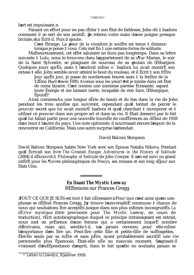l art est impuissant.

Faisant un effort pour ne pas cÈder ‡ son Ètat de faiblesse, John dit ‡ Isadora comment il se sert de son amitiÈ. Je retiens votre main d une poigne presque brutale,≤ lui Ècrit-il. Puis il ajoute:

C est Ètrange. La peur de la vie dont je souffre est tenue ‡ distance lorsque je pense ‡ vous. Cela met fin ‡ une certaine forme de solitude.

Malheureusement, cet effet salutaire ne dura pas longtemps. Dans sa lettre suivante ‡ Lulu, nous le trouvons dans l appartement de sa s¶ur Marian, le soir de la Saint Sylvestre, se plaignant de nouveau de sa putain de lÈthargie. Quelques jours apr $\ddot{E}$ s, assis  $\ddagger$  l endroit mime o $\ddot{S}$  Isadora lui avait montr $\ddot{E}$  son extase ‡ elle, John semble avoir atteint le bout du rouleau, et il Ècrit ‡ son frËre

Jour aprËs jour, je passe de nombreuses heures assis ‡ la fenÍtre de la 12Ëme Rue†≠†avec Fifth Avenue sous les yeux†≠†et je tombe dans cet Ètat de coma bizarre. C est comme une immense paresse Ècrasante, sapant toute Ènergie et me laissant inerte, incapable de rien faire, lÈthargique,  $\tilde{E}$ puis $\tilde{E}^{22}$ 

Ainsi commenÁa une longue sÈrie de hauts et de bas dans la vie de John pendant les trois annÈes qui suivirent, cependant qu'il tentait de percer le pouvoir secret que lui avait montrÈ Isadora et qu il cherchait  $\ddagger$  incorporer et  $\ddagger$ utiliser ce pouvoir dans son propre art et dans sa vie. Il Ètait desservi par le fait qu il lui fallait partir pour une nouvelle tournÈe de confÈrences au dÈbut de 1918  $\overline{d}$  un bout  $\ddagger$  l autre du pays. Une note optimiste: il nourrissait encore l espoir de la rencontrer en Californie. Mais une autre surprise l attendait.

## David Balcom Stimpson

David Balcom Stimpson habite New York avec son Èpouse Natalia Nikova. Pendant quail Ecrivait son livre *The Greatest Escape: Adventures in the History of Solitude* (2004) il dÈcouvrit *A Philosophy of Solitude* de John Cowper. Il s en est suivi un grand intÈrÍt pour les ¶uvres philosophiques de Powys, ses romans et son long sÈjour aux Etats Unis.

# **En lisant** *The Mystic Leeway* RÈflexions sur Frances Gregg

TOUT CE QUE JE SUIS est tout ‡ fait nÈcessaire. Pour moi c est ainsi qu en une phrase se dÈfinit Frances Gregg. J y trouve l universalitÈ commune  $\ddagger$  chacun de nous qui souhaitons Ítre acceptÈs jusque dans nos plus infimes incongruitÈs. *La dÈrive mystique* (titre provisoire pour *The Mystic Leeway*, en cours de traduction), rÈcit autobiographique duquel ce principe intransigeant est extrait, nous met en prÈsence d'une femme qui a certainement inspirÈ nombre d Ècrivains, mais qui, semble-t-il, n a jamais reconnu pour elle-mime l importance d en Ítre un. Peut-Ítre cette fille et petite-fille de suffragettes, ÈlevÈe seule par sa mËre et sans pËre, ayant probablement sacrifiÈ une vie personnelle plus Èpanouie, Ètait-elle nÈe au mauvais moment. Sagissait-il vraiment d indÈpendance d esprit, dans le fait qu elle ne souhaita jamais se

<sup>22</sup> *Letters to Llewelyn*, 8 janvier 1918.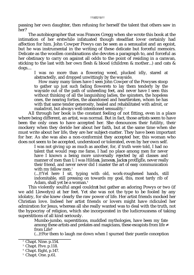passing her own daughter, then refusing for herself the talent that others saw in her?

The autobiographer that was Frances Gregg when she wrote this book at the intimation of her erstwhile infatuated though steadfast lover certainly had affection for him. John Cowper Powys can be seen as a sensualist and an egoist, but he was instrumental in the writing of these delicate but forceful memoirs. Delicate as the woollen combinations she devotes a paragraph to, and forceful as her obstinacy to carry on against all odds to the point of residing in a caravan, sticking to the last with her own flesh & blood (children & mother...) and cats & dogs....

I was no more than a flowering weed, plucked idly, stared at abstractedly, and dropped unwittingly by the wayside.

How many many times have I seen John Cowper of the Powyses stoop to gather up just such fading flowerets to lay them tenderly by the wayside out of the path of unheeding feet, and never have I seen this without thinking of all the languishing ladies, the spinsters, the hopeless ones, the nearing forties, the abandoned and heartbroken, whom he has with that same tender generosity, healed and rehabilitated with adroit, or maladroit, but always well-intentioned sensuality.<sup>2</sup>

All through her book is the constant feeling of not fitting, even in a place where being different, an artist, was normal. But in fact, those artists seem to have been the only ones to have accepted her. She denounces their futility, their mockery when they deride her about her faith, but at the same time when she must write about her life, they are her subject-matter. They have been important for her. As she was also a non-conformist they accepted her, this woman who does not seem to be accepted, understood or tolerated, even by her own self.

I was not giving up as much as another, for, if truth were told, I had no talent that would reap me fame, I had no place among men for never have I known a being more universally rejected by all classes and manner of men than I; I was Hilda s, James s, Jack s protÈgÈe, never really their friend, and never never did I master the art of easy communication with my fellow men*.* 3

(...)†Yet here I sit, typing with old, work-roughened hands, still indomitable, still pressing on towards my goal, this, most tardy rib of Adam, shall yet be a woman. 4

This violently soulful angel couldn t but gather an adoring Powys or two (if we add Llewelyn) at her feet. Yet she was not the type to be fooled by any idolatry, for she knew clearly the raw power of life. Her artist friends mocked her Christian love. Indeed her artist friends or lovers might have ridiculed her admiration for Jesus, whereas all she really wanted was to deal with the truth, not the hypocrisy of religion, which she incorporated in the ludicrousness of taking superstitions of all kind seriously.

> Mumbo-jumbo, superstitions, muddled mythologies, have been my fate among these artists and prelates and magicians, these escapists from life from Life!<sup>5</sup>

(...)†For them to laugh me down when I spurned their puerile conception

<sup>2</sup> Chapt. Nine. p.154.

<sup>3</sup> Chapt. Five. p.118.

<sup>4</sup> Chapt. Eight, p.147.

<sup>&</sup>lt;sup>5</sup> Chapt. One. p.61.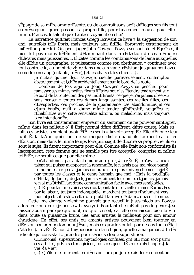sEparer de sa mEre omniprEsente, ou de couvrait sans arrit d Eloges son fils tout en n Evoquant qu en passant sa propre fille, pour finalement refuser pour ellemime, Frances, le talent que d autres voyaient en elle?

La narratrice qu Etait Frances Gregg Ecrivant ce livre ‡ la suggestion de son ami, autrefois tr $\ddot{E}$ s Epris, mais toujours ami fid $\ddot{E}$ le, Eprouvait certainement de l affection pour lui. On peut juger John Cowper Powys sensualiste et EgoÔste, il n en fut pas moins l'ElEment dEterminant dans la rEdaction de ces mEmoires dElicates mais puissantes. DElicates comme les combinaisons de laine auxquelles elle dÈdie un paragraphe, et puissantes comme son obstination  $\ddagger$  continuer avec tout contre elle, au point de vivre dans une caravane, rÈsistant jusqu au bout avec ceux de son sang (enfants, mÊre), the les chats et les chiens....t.

Je n'Ètais qu'une fleur sauvage, cueillie paresseusement, contemplÈe abstraitement, et l, chÈe accidentellement sur le bord de la route.

Combien de fois ai-je vu John Cowper Powys se pencher pour ramasser ces mimes petites fleurs flètries pour les Étendre tendrement sur le bord de la route loin des pas indiffÈrents, ce que je n'ai jamais observÈ sans penser  $\ddagger$  toutes ces dames languissantes, ces vieilles filles, ces dEsespErEes, ces proches de la quarantaine, ces abandonnEes et ces c¶urs brisEs, qu'il a d'une mime tendre gEnErositE, soignEes et rÈhabilitÈes avec cette sensualitÈ adroite, ou maladroite, mais toujours bien intentionnÉe.

Son livre est constamment empreint du sentiment de ne pouvoir s intEgrer, mime dans les milieux o il Etait normal d itre diffErent, d itre artiste. Mais en fait, ces artistes semblent avoir EtE les seuls  $\ddagger$  l avoir acceptEe. Elle dEnonce leur futilitE, la faÁon quils ont de se moquer delle quand ils tournent sa foi en dÈrision, mais dans le mime temps lorsqu il s agit de dÈcrire sa propre vie, ils en sont le sujet. Ils furent importants pour elle. Comme elle Ètait non-conformiste ils l acceptaient, cette femme qui ne semble pas ftre acceptÈe, comprise ni mime tolErEe, ne serait-ce que par elle-mime.

Je n'abandonnai pas autant qu une autre, car, ‡ la vÈritÈ, je n'avais aucun talent qui puisse m'apporter la renommEe, je n'avais pas ma place parmi les hommes car je n'ai jamais connu un Ítre plus universellement rejet par toutes les classes et le genre humain que moi; j'Etais la protEgEe d'Hilda, de James, de Jack, jamais vraiment leur amie, et jamais, jamais je n'ai maÔtrisÈ l'art d une communication facile avec mes semblables. (...)†Et pourtant me voici assise ici, tapant de mes vieilles mains ÈprouvÈes par le labeur, toujours indomptable, marchant toujours rÈsolument vers mon objectif, il reste  $\ddagger$  cette cUte plutUt tardive d'Adam  $\ddagger$  devenir femme.

Cette , me d ange violent ne pouvait que recueillir  $\ddagger$  ses pieds un Powys adorateur ou deux (je pense  $\ddagger$  Llewelyn). Pourtant elle n Etait pas du genre  $\ddagger$  se laisser abuser par quelque idol, trie que ce soit, car elle connaissait bien la vie dans toute sa puissance brute. Ses amis artistes la raillaient pour son amour christique. En effet, ses amis ou amants artistes pouvaient bien tourner en dÈrision son admiration pour JÈsus, mais ce qu elle voulait par-dessus tout c Ètait s'atteler ‡ la vÈritÈ, non ‡ l hypocrisie de la religion, qu elle amalgamait ‡ l idÈe ridicule qui consistait  $\ddagger$  prendre pour sErieuse toute superstition.

CErEmonial, superstitions, mythologies confuses, ont EtE mon sort parmi ces artistes, prèlats et magiciens, tous ces gens dèsireux d'Echapper ‡ la vie la Viet!

 $(...)$ †Qu'ils me tournent en d $\tilde{E}$ rision lorsque je rejetais leur conception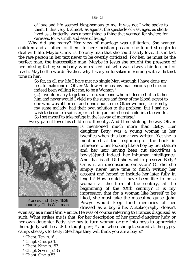of love and life seemed blasphemous to me. It was not I who spoke to them. I, this very I, almost, as against the spectacle of vast ages, as shortlived as a butterfly, was a poor thing, a thing that yearned for shelter, for caresses, for warmth and ease of living.<sup>6</sup>

Why did she marry? Her view of marriage was utilitarian. She wanted children and a father for them. In her Christian passion she found strength to deal with life. Maybe Christ is the only man that she could safely love. It is in fact the rare person in her text never to be overtly criticized. For her, he must be the perfect man, the inaccessible man. Maybe in Jesus she sought the presence of her missing father, somebody who existed but who was always hidden, out of reach. Maybe the words *aFather*, why have you forsaken me? rang with a distinct tone in her.

So far, in all my life I have met no single Man though I have done my best to make one of Oliver Marlow nor has any man encouraged me, or indeed been willing for me, to be a Woman*.* 7

(...)†I would marry to get me a son, someone whom I deemed fit to father him and never would I yield up the surge and fever of my blood except to one who was abhorrent and obnoxious to me. Other women, stricken by my same malady, had their own solution to the problem, but I had no wish to become a spinster, or to bring an unfathered child into the world. So I set myself to take refuge in the leeway of marriage.<sup>8</sup>

Every parent loves his children differently. And I find striking the way Oliver



Frances and Betty, 1929 *courtesy* Chris Wilkinson

is mentioned much more than Betty. Her daughter Betty was a young woman in her twenties when this book was written. Yet she is mentioned at the beginning of the book in reference to her looking like a boy by her stature and her hair having been cut short†ã†as a boy's†ã†and indeed her inhuman intelligence. And that is all. Did she want to preserve Betty? Or is it an unconscious omission? Or did she simply never have time to finish writing her account and hoped to include her later fully in length? How could it have been like to be a woman at the turn of the century, at the beginnning of the XXth century? It is my impression that for a woman like herself to be liked, she must take the masculine guise. John Powys would keep fond memories of her dressed as a boy†ã†his *Autobiography* doesn't

even say as a man†ã†in Venice. He was of course referring to Frances disguised as such. What strikes me is that, for her description of her grand-daughter Judy or her own daughter Betty, she has to turn woman or girl into boys to appreciate them. Judy will be a little tough guy ,  $^{\circ}$  and when she gets scared at the gypsy camp, she says to Betty: Perhaps they will think you are a boy.  $10$ 

- <sup>9</sup> Chapt. Seven. p.135
- <sup>10</sup> Chapt. One. p.53

<sup>&</sup>lt;sup>6</sup> Chapt. Ten. p.161.

<sup>7</sup> Chapt. One. p.61.

<sup>8</sup> Chapt. Nine. p.157.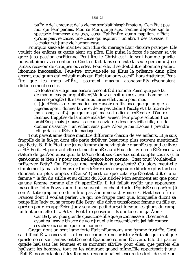puÈrile de l'amour et de la vie me semblait blasphÈmatoire. Ce n'Ètait pas moi qui leur parlais. Moi, ce Moi que je suis, comme dÈposÈe sur le spectacle immense des ,ges, aussi EphEmEre qu un papillon, n'Etait qu'une pauvre chose, une chose qui aspirait  $\ddagger$  un abri,  $\ddagger$  des caresses,  $\ddagger$ la chaleur et  $\ddagger$  une vie harmonieuse.

Pourquoi s est-elle mariÈe? Son idÈe du mariage Ètait d ordre pratique. Elle voulait des enfants et qu'ils aient un pÊre. Elle puisa la force de mener sa vie gr, ce  $\ddagger$  sa passion chrÈtienne. Peut-Ítre le Christ est-il le seul homme quelle pouvait aimer avec confiance. C est en fait dans son texte la seule personne  $\ddagger$  ne jamais recevoir de critiques ouvertes. Pour elle, il se doit d'Ître l'homme parfait, I homme inaccessible. Peut-Itre trouvait-elle en JEsus la prEsence d'un pEre absent, quelqu un qui existait mais qui Etait toujours cachE, hors d atteinte. Peut-PËre, pourquoi m as-tu abandonnE? rÈsonnaient Itre que les mots distinctement en elle.

De toute ma vie je n ai encore rencontreted Homme bien que j aie fait de mon mieux pour qu Oliver†Marlow en soit un et aucun homme ne m a encouragEe  $\ddagger$  Itre Femme, ou l a en effet voulu pour moi.

(...) Je dÉcidais de me marier pour avoir un fils avec quelqu'un que je jugerais apte ‡ donner la vie et de ne pas cÈder ‡ l'accÈs et ‡ la fiÈvre de mon sang, sauf  $\ddagger$  quelqu'un qui me soit odieux, exeterable. D'autres femmes, frappEes de la mime maladie, avaient leur propre solution  $\ddagger$  ce problÊme, mais je n avais aucune envie de devenir vieille fille, ou de donner naissance  $\ddagger$  un enfant sans pÊre. Alors je me rÈsolus  $\ddagger$  prendre refuge dans la dÈrive du mariage.

Tout parent aime d une mani Ere diffErente chacun de ses enfants. Et je suis frappÈe de la faÁon dont elle parle d'Oliver, beaucoup plus souvent mentionnÈ que Betty. Sa fille Etait une jeune femme d'une vingtaine d'annes quand ce livre a ÈtÈ Ècrit. Et pourtant elle est mentionnÈe au dÈbut du livre en rÈfÈrence ‡ sa stature de garÁon ainsi qu‡ la faÁon dont ses cheveux sont coupEs courts (‡ la garÁonne) et bien s'r pour son intelligence hors norme. C est tout! Voulait-elle prEserver Betty? Ou Etait-ce une omission inconsciente? Ou alors n eut-elle simplement jamais le temps de finir d'Ecrire avec l'espoir de l'inclure plus tard en donnant de plus amples dÈtails? Qu'est ce que cela reprÈsentait d'Ître une femme ‡ la fin du siËcle et au dÈbut du XXe siËcle? Mon sentiment est que pour qu'une femme comme elle f<sup>e</sup>t apprèciee, il lui fallait revitir une apparence masculine. John Powys aurait un souvenir touchant d elle dÈguisÈe en garÁon†ã son Autobiographie ne dit mime pas ahomme fatt Venise. C Etait bien s'r de Frances dont il voulait parler. Ce qui me frappe c est que, lorsquelle detection petite-fille Judy ou sa propre fille Betty, elle doive transformer femme ou fille en garÁon pour les apprÈcier. Judy sera un petit dur, et lorsque les gitans du camp lui font peur, elle dit  $\ddagger$  Betty: Peut-Ítre penseront-ils que tu es un garÁon.

Car Betty est plus grande qu aucune fille que je connaisse et rÈcemment, ayant eu l envie bizarre de voir  $\ddagger$  quoi elle ressemblerait, j ai fait couper ses cheveux comme pour un homme.

Gregg, dont on sent I, me forte Etait nEanmoins une femme frustrEe. C est sa difficultE ‡ concevoir la femme comme une artiste vÈritable qui explique quelle ne se soit jamais entiErement Epanouie comme Ecrivain. Elle dit parfois quelle haOssait les femmes et se montrait sEvEre pour elles, que parfois elle haÔssait les hommes, tout en les admirant quand mÎme. Elle appartenait ‡ une rÈalitÈ inconfortable o les femmes revendiquaient encore le droit de vote ou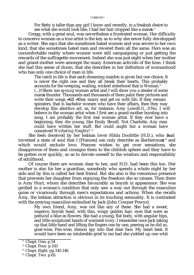For Betty is taller than any girl I know and recently, in a freakish desire to see what she would look like, I had her hair cropped like a man s.<sup>11</sup>

Gregg, with a great soul, was nevertheless a frustrated woman. Her difficulty to conceive woman as a true artist is the key as to why she never fully developped as a writer. She says that she sometimes hated women and was severe to her own kind, that she sometimes hated men and revered them all the same. Hers was an uncomfortable reality where women were still campaigning or just getting the rewards of the suffragette movement. Indeed she was just eight when her mother and grand-mother were amongst the many American activists of the time. I think she had this sense of doom, that she describes in her definition of womanhood who has only one choice of man in life.

The catch in life is that each dreaming maiden is given but one choice. It is never the right one and they all break their hearts. This probably accounts for the weeping, wailing, wicked sisterhood that is Woman.<sup>12</sup> (...)†Show me a *young* woman artist and I will show you a stealer of some man s thunder. Thousands and thousands of them paint their pictures and write their songs till they marry and get on with life. If they remain spinsters, that is bachelor women who have their affairs, then they may develop this abortive art, as, for instance, Amy Lowell.†(...)†No, I will believe in the woman artist when I first see a grand-mother bursting into song. I am probably the first real woman artist. If they ever have a beginning, they die young, like Emily BrontÎ. Not Charlotte. Any man could have written her stuff. But could aught but a woman have conceived *Wuthering Heights*? 13

She feels deceived by her lesbian lover Hilda Doolittle (H.D.), who had invented a state of soul that I [Frances] can only describe as ålecherous , 14 and which would exclude love. Frances wishes to get over sensations, she disapproves of them and consigns them to the childish sphere and they have to be gotten over quickly, so as to devote oneself to the wisdom and responsibility of adulthood.

Of course there are women dear to her, and H.D. had been this too. Her mother is also for her a guardian, somebody who spends a whole night by her side and by this is called her best friend. But she also is the venomous presence that prevents her daughter from enjoying the freedom she so misses. Then there is Amy Hoyt, whom she describes favourably as boyish in appearance. She was girdled in a woman's condition that only saw a way out through the masculine guise or vicariously through men's expectations and actions. When she recalls Amy, the lesbian attraction is obvious in its touching sensuality. It is contrasted with the preying masculine embodied by Jack (John Cowper Powys).

My own friend, Amy, was not like any of these. She had a sweet, massive, boyish head, with thin, wispy golden hair, eyes that were as pellucid a blue as flowers. She had a young, flat body, with angular hips, and little sculptured hands of warmest ivory. I remember once Jack taking up that little hand and lifting the fingers one by one, peering as he did so, goat-wise, Pan-wise, demon spy into that dear face. My heart beat. It would have been an intolerable grief to me had she yielded up one whit

 $11$  Chapt. One. p.54

<sup>12</sup> Chapt. Four. p.103

<sup>13</sup> Chapt. Eight. pp.145-146

 $14$  Chapt. Two. p.65.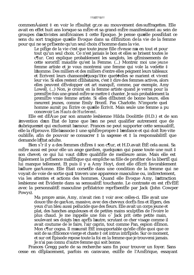#### ttä<sub>27tätt</sub>

commen Aaient  $\ddagger$  en voir le rÈsultat gr, ce au mouvement des suffragettes. Elle avait en effet huit ans lorsque sa mÊre et sa grand-mÊre manifestaient au sein de groupes d'activistes amEricaines  $\ddagger$  cette Epoque. Je pense qu'elle possEdait ce sens du sort tragique qu'elle Evoque dans sa dEfinition de la vie de la femme pour qui ne se prÈsente qu'un seul choix d'homme dans la vie.

Le pi $\overline{E}$ ge de la vie c'est que toute jeune fille riveuse n a en tout et pour tout qu'un seul choix. Ce n'est jamais le bon et elles se brisent toutes le c¶ur. Ceci explique probablement les sanglots, les gEmissements de cette sororitÈ maudite qu'est la Femme. (...) Montrez moi une jeune femme artiste et je vous montrerai une femme qui vole la vedette ‡ I homme. Des milliers et des milliers d'entre elles peignent leurs tableaux et Ecrivent leurs chansonst tiusqu't te quet telles se marient et vivent leur vie. Si elles restent cElibataires, c'est ‡ dire des femmes actives, alors elles peuvent dEvelopper cet art manquE, comme, par exemple, Amy Lowell. (...) Non, je croirai en la femme artiste quand je verrai pour la premi $\overline{E}$ re fois une grand-m $\overline{E}$ re se mettre  $\ddagger$  chanter. Je suis probablement la premi $\overline{E}$ re vraie femme artiste. Si elles d $\overline{E}$ butent de bonne heure, elles meurent jeunes, comme Emily Brontl. Pas Charlotte. N'importe quel homme aurait pu Ecrire ce qu'elle Ecrivit. Mais seule une femme a pu concevoir Les Hauts de Hurlevent.

Elle est dEAue par son amante lesbienne Hilda Doolittle (H.D.) et de son invention d'un État de 1, me que l'on ne peut qualifier autrement que de lubrique et qui excluerait l amour. Frances ne peut supporter cette sensualitE, elle la rÈprouve. Elle lassocie  $\ddagger$  une sphËre propre  $\ddagger$  l enfance et qui doit Ítre vite oublieure, afin de pouvoir se consacrer  $\ddagger$  la sagesse et  $\ddagger$  la responsabilite que demande l Etat adulte.

Bien s'r il y a des femmes chËres ‡ son c¶ur, et H.D. avait ÈtÈ cela aussi. Sa mÊre aussi est pour elle un ange gardien, quelqu un qui passe toute une nuit  $\ddagger$ son chevet; ce qui lui vaut d'eltre qualifiere de meilleure amie. Mais elle est Egalement la prEsence malEfique qui emplche sa fille de profiter de la libertE qui lui manque tellement. Et puis il y a Amy Hoyt, dont elle dÈcrit favorablement l allure garÁonne. Elle Etait corsetEe dans une condition de la femme qui ne voyait de voie de sortie qu‡travers une apparence masculine ou, indirectement, via les attentes et actions des hommes. Quand elle Evoque Amy, l'attraction lesbienne est Evidente dans sa sensualitE touchante. Le contraste en est rEvElE avec la personnalitE masculine prEdatrice reprEsentEe par Jack (John Cowper Powys).

Ma propre amie, Amy, n'avait rien  $\ddagger$  voir avec celles-ci. Elle avait une douce tite de garAon, massive, avec des cheveux dorEs fins et lEgers, des yeux d'un bleu aussi pellucide que des fleurs. Elle avait un corps jeune et plat, des hanches anguleuses et de petites mains sculptEes de l'ivoire le plus chaud. Je me rappelle une fois o Jack prit cette petite main, soulevant ses doigts l un aprËs l autre, scrutant ce cher visage comme il avait coutume de le faire, l'air caprin, tout comme Pan, espion dÈmon. Mon c¶ur cogna. Il m aurait ÈtÈ insupportable qu'elle cËde quoi que ce soit de sa rÉticence vierge et chaste  $\ddagger$  cet intrus intrÉpide. Sur ce moment, et sur cet Episode repose toute la foi en la femme que je trouverai jamais. Je n'ai pas connu d'autre femme qui soit bonne.

Frances Gregg parle de sa recherche sans fin pour trouver un foyer. Sans cesse en dEplacement, parfois en caravane, exilEe de l'AmErique, essayant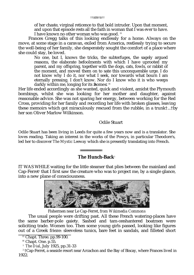of her chaste, virginal reticence to that bold intruder. Upon that moment, and upon that episode rests all the faith in woman that  $\overline{I}$  was ever to have. I have known no other woman who was good. <sup>15</sup>

Frances Gregg talks of this looking endlessly for a home. Always on the move, at some stage in a caravan, exiled from America, restlessly trying to secure the well-being of her family, she desperately sought the comfort of a place where she could stay, be loved.

No one, but I, knows the tricks, the subterfuges, the sagely argued reasons, the elaborate befoolments with which I have uprooted my parent, and my offspring, together with the dogs, cats, fowls, or rabbit of the moment, and moved them on to sate this unconquerable urge. I do not know why I do it, nor what I seek, nor towards what bourn I am eternally pressing. I don't know. Nor do I know who it is who weeps darkly within me, longing for its home.  $16$ 

Her life ended accordingly as she wanted, quick and violent, amidst the Plymouth bombings, whilst she was looking for her mother and daughter, against reasonable advice. She was not sparing her energy, between working for the Red Cross, providing for her family and recording her life with broken glasses, leaving these memoirs which got miraculously rescued from the rubble, in a trunk†...†by her son Oliver Marlow Wilkinson.

## Odile Stuart

Odile Stuart has been living in Leeds for quite a few years now and is a translator. She loves reading. Taking an interest in the works of the Powys, in particular Theodore's, led her to discover *The Mystic Leeway* which she is presently translating into French.

## **The Hunch-Back**<sup>1</sup>

IT WAS WHILE waiting for the little steamer that plies between the mainland and Cap-Ferret<sup>2</sup> that I first saw the creature who was to project me, by a single glance, into a new plane of consciousness.



Fishermen near Le Cap-Ferret, *from Wikimedia Commons*

The usual people were drifting past. All these French watering-places have the same barber-pole gaiety. Sashed and tam-o-shantered boatmen were soliciting trade. Women too. Then some young girls passed, looking like figures out of a Greek frieze: sleeveless tunics, bare feet in sandals, and filleted short

<sup>&</sup>lt;sup>15</sup> Chapt. Three. pp.99-100.

<sup>&</sup>lt;sup>16</sup> Chapt. One. p.55.

<sup>1</sup> *The Dial*, July 1925, pp.31-33

 $2$ <sup>2</sup> †Cap-Ferret, a seaside resort near Arcachon and the Bay of Biscay, where Frances lived in 1922.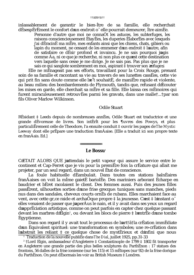ttä<sub>29tãtt</sub>

inlassablement de garantir le bien-Ítre de sa famille, elle recherchait dÈsespÈrÈment le confort d'un endroit o elle pourrait demeurer, Itre aimÈe.

Personne d'autre que moi ne connaÔt les astuces, les subterfuges, les raisons consciencieusement EtayEes, les duperies ElaborEes avec lesquels j'ai dÈracinÈ ma mËre, mes enfants ainsi que les chiens, chats, gibiers ou lapin du moment, ne cessant de les emmener d'un endroit  $\ddagger$  l'autre, afin de satisfaire ce dEsir profond et invaincu. Je ne sais pourquoi jagis comme Áa, ni ce que je recherche, ni non plus ce que st cette destination vers laquelle sans cesse je me dirige. Je ne sais pas. Pas plus que je ne sais ce qui sanglote sombrement en moi, aspirant  $\frac{1}{4}$  trouver son refuge.

Elle ne mEnageait pas ses efforts, travaillant pour la Croix Rouge, prenant soin de sa famille et racontant sa vie au travers de ses lunettes cassEes, cette vie qui prit fin sans doute comme elle l e<sup>t</sup> souhaitE, de maniEre rapide et violente, au beau milieu des bombardements de Plymouth, tandis que, refusant d Ecouter les mises en garde, elle cherchait sa mÊre et sa fille. Elle laissa ces mÊmoires qui furent miraculeusement retrouvEes parmi les gravats, dans une malle†...†par son fils Oliver Marlow Wilkinson.

### Odile Stuart

RÈsidant ‡ Leeds depuis de nombreuses annÈes, Odile Stuart est traductrice et une grande dEvoreuse de livres. Son intErit pour les ¶uvres des Powys, et plus particuli Erement celle de Theodore, l'a ensuite conduit ‡ ouvrir les pages de The Mystic Leeway dont elle prÈpare une traduction franÁaise. [Elle a traduit ici son propre texte en franÁais. Ed.

### Le Bossu<sup>1</sup>

C ETAIT ALORS QUE jattendais le petit vapeur qui assure le service entre le continent et Cap-Ferret que je vis pour la premiEre fois la crEature qui allait me projeter, par un seul regard, dans un nouvel Etat de conscience.

La foule habituelle dEambulait. Dans toutes ces stations balnEaires franÁaises on voit la mÍme gaietE bariolEe. Des mariniers arborant Echarpe en baudrier et bEret racolaient le client. Des femmes aussi. Puis des jeunes filles passErent, silhouettes sorties d une frise grecque: tuniques sans manches, pieds nus dans des sandales, cheveux courts ornÈs de rubans. Elles marchaient face au vent, avec cette gr.ce raide et archaÔque propre  $\ddagger$  la jeunesse. C est  $\ddagger$  l instant o<sup>r</sup> elles venaient de passer que j aperÁus le nain, et il y avait dans ses yeux un regard d apprEciation artistique, comme on peut parfois en capter chez quelque passant devant les marbres d'Elgin<sup>2</sup>, ou devant les blocs de pierre  $\ddagger$  l'entrÈe d'une tombe Egyptienne.

Dans son regard il y avait tout le processus de l art†ã†la crÈation immÈdiate d un Equivalent spirituel: une transformation en symboles; une re-crEation dans l abstrait les reliant  $\ddagger$  ce quelque chose de mystÈrieux et d infini que nous <sup>1</sup> Traduction de la nouvelle publi<sup>E</sup>e dans The Dial, juillet 1925, pp.31-33

<sup>2</sup> †Lord Elgin, ambassadeur d'Angleterre ‡ Constantinople de 1799 † 1802 fit transporter en Angleterre une grande partie des plus belles sculptures du ParthEnon : 17 statues des frontons, 56 dalles de la frise ionienne (sur les 115) et 15 mÈtopes (sur 92) de la frise dorique du ParthÈnon. On peut dÈsormais les voir au British Museum ‡ Londres.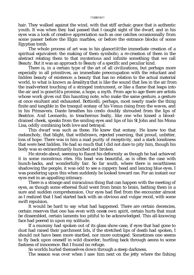### ††ã†30†ã††

hair. They walked against the wind, with that stiff archaic grace that is authentic youth. It was when they had passed that I caught sight of the dwarf, and in his eyes was a look of creative appreciation such as one catches occasionnally from some passer before the Elgin marbles, or before the entrance blocks of some Egyptian tomb.

The whole process of art was in his glance†ã†the immediate creation of a spiritual equivalent: the making of them symbolic; a re-creation of them in the abstract relating them to that mysterious and infinite something that we call Beauty. But it was an approach to Beauty of a specific and peculiar kind.

There is, in a certain type of the art of all civilizations, but perhaps more especially in all primitives, an immediate preoccupation with the reluctant and hidden beauty of existence: a beauty that has no relation to the actual material world, to what is known as areality; that is like the sound that lies in the air from the inadvertent touching of a stringed instrument, or like a flame that leaps into the air and is gone†ã†a promise, a hope, a myth. From age to age there are artists whose work gives out this haunting note, who make the same gesture, a gesture at once exultant and exhausted. Botticelli, perhaps, most nearly made the thing finite and tangible in the tranquil ecstasy of his Venus rising from the waves, and in his Primavera. Dante breathes his credo doubly shrouded from the lips of Beatrice. And Leonardo, in treacherous fealty, like one who kissed a blooddrained cheek, speaks from the smiling eyes and lips of his St John and his Mona Lisa, oddly combining both love and betrayal.

This dwarf was such as these. He knew that ecstasy. He knew too that melancholy, that blight, that withdrawn, rejected yearning, that proud, unbitter, loss of hope. There was in him a mad purity of receptivity, and a stark loneliness that were best hidden. He had so much that I did not dare to pity him, though his body was so extraordinarily hunched and broken.

He strode about, seeming to flaunt his deformity as though he had achieved it in some monstrous rites. His head was beautiful, as is often the case with hunch-backs, and wonderfully fair. So far south, where there is swarthiness shadowing the people, it was odd to see a coppery head and lancing blue eyes. I was pondering upon this when suddenly he looked toward me. For an instant our eyes met in an appalling intimacy.

There is a strange and miraculous thing that can happen with the meeting of eyes, as though some ethereal fluid went from brain to brain, bathing them in a sure and sudden comprehension. Our eyes had fled from the encounter almost as I realized that I had started back with an obvious and vulgar recoil, with some swift repulsion.

It would be hard to say what had happened. There are certain decencies, certain reserves that one has even with one s own spirit, certain hurts that must be dissembled, certain laments too pitiful to be acknowledged. This all-knowing face had peered in upon my solitude.

If a mummy had spoken out of its glass show-case, if eyes that had gone to dust had raised their parchment lids, if the stretched lips of death had spoken, I should not have been more startled, nor more outraged. Sometimes one seems to fly back upon oneself in wild disorder, hurtling back through aeons to some fastness of innocence. But I found no refuge.

So worlds hurled themselves down through a steep darkness.

The season was over when I saw him next on the jetty where the fishing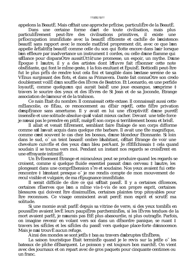appelons la BeautE. Mais c Etait une approche prEcise, particuliEre de la BeautE.

Dans une certaine forme d'art de toute civilisation, mais plus des civilisations particuliErement peut-Ítre primitives. il existe une prÈoccupation immÈdiate avec la beautÈ rÈticente et cachÈe de l'existence: beautE sans rapport avec le monde matEriel proprement dit, avec ce que l on appelle arealite : beaute comme celle du son qui flotte encore dans l air lorsque l on effleure par inadvertance un instrument  $\ddagger$  cordes, ou celle d une flamme qui s Elance pour disparaÓtre aussitÙt†ã†une promesse, un espoir, un mythe. D une Èpoque  $\ddagger$  lautre, il y a des artistes dont l'Iuvre fait rÈsonner cette note obsEdante, qui font le mime geste,  $\ddagger$  la fois exultant et EpuisE. Botticelli peut-Itre fut le plus prÊs de rendre tout cela fini et tangible dans l'extase sereine de sa VÈnus surgissant des flots, et dans sa Primavera. Dante fait connaÓtre son credo doublement voilE d un souffle des lEvres de Beatrice. Et Leonardo, en une perfide loyautE, comme quelqu un qui aurait baisE une joue exsangue, s exprime  $\ddagger$ travers le sourire des veux et des lEvres de St Jean et de sa Joconde, Etrange association de lamour et de la trahison.

Ce nain Ètait du nombre. Il connaissait cette extase. Il connaissait aussi cette mÈlancolie, ce flÈau, ce renoncement au dÈsir rejetÈ, cette fiËre privation d espÈrance sans amertume. Il y avait en lui une rÈceptivitÈ d'une puretÈ insensEe et une solitude absolue qu il valait mieux cacher. Devant une telle force je n osaj pas le prendre en piti $\hat{E}$ , malgr $\hat{E}$  son corps si terriblement bossu et bris $\hat{E}$ .

Il allait et venait fiErement, semblant faire Etalage de son corps difforme comme s il l avait acquis dans quelque rite barbare. Il avait une tite magnifique, comme c est souvent le cas chez les bossus, d une blondeur Etonnante. Si loin dans le sud, o un teint basanÈ ombre l habitant, c Etait Etrange de voir une chevelure cuivrÈe et des yeux d'un bleu perÀant. Je rÈflÈchissais ‡ cela quand soudain il se tourna vers moi. Pendant un instant nos regards se crois Erent en une effravante intimitE.

Un EvEnement Etrange et miraculeux peut se produire quand les regards se croisent, comme si quelque fluide essentiel passait d un cerveau  $\ddagger$  l autre, les plongeant dans une comprÈhension s're et soudaine. Nos yeux avaient fui cette rencontre  $\ddagger$  l instant presque o je me rendis compte de mon mouvement de recul visible et vulgaire, de ma rÈpugnance immÈdiate.

Il serait difficile de dire ce qui s Ètait passÈ. Il y a certaines dÈcences. certaines rÈserves que l'on a mime vis- $\ddagger$ -vis de son propre esprit, certaines blessures qui doivent Itre dissimulfies, certaines plaintes trop pitovables pour Itre reconnues. Ce visage omniscient avait percE mon esprit et scrutE ma solitude.

Si une momie avait parlÈ depuis sa vitrine de verre, si des yeux tombÈs en poussiEre avaient levE leurs paupiEres parcheminEes, si les lEvres tendues de la mort avaient parlÈ, je n aurais pas ÈtÈ plus abasourdie, ni plus outragÈe. Parfois, on imagine revenir en volant vers soi dans un dEsordre panique, se ruant ‡ travers les siEcles et les siEcles du passE vers quelque place-forte d innocence. Mais je n ai trouvE aucun refuge.

Ainsi des mondes se sont jet Es ‡ bas au travers d abruptes tEnEbres.

La saison touristique Ètait terminÈe quand je le revis sur la jetÈe o les bateaux de plche dEbarquent. Le poisson y est toujours bon marchE. On vient avec des journaux et on repart avec de gros paquets pour cinquante centimes ou un franc.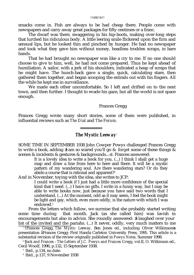††ã†32†ã††

smacks come in. Fish are always to be had cheap there. People come with newspapers and carry away great packages for fifty centimes or a franc.

The dwarf was there, swaggering in his hip-boots, making over-long steps that lurched his ridiculous body. A little leering smile flickered upon the firm and sensual lips, but he looked thin and pinched by hunger. He had no newspaper and took what they gave him without money, headless trodden scraps, in bare hands.

That he had brought no newspaper was like a cry to me. If no one should choose to give to him, well, he had not come prepared. Thus he kept ahead of humiliation. A sailor, with a jerk of his shoulders, indicated a heap of scraps that he might have. The hunch-back gave a single, quick, calculating stare, then gathered them together, and began scooping the entrails out with his fingers. All the while he kept me in surveillance.

We made each other uncomfortable. So I left and drifted on to the next town, and then further. I thought to evade his gaze, but all the world is not space enough.

### Frances Gregg

Frances Gregg wrote many short stories, some of them were published, in influential reviews such as *The Dial* and *The Forum*.

## *The Mystic Leeway*<sup>1</sup>

SOME TIME IN SEPTEMBER 1938 John Cowper Powys challenged Frances Gregg to write a book, adding ≥I am so scared you'll go & *forget* some of these things & scenes & incidents & gestures & backgrounds...≤ <sup>2</sup> . Frances answered:

It is a lovely idea to write a book for you. (...) I think I shall get a huge map and draw a line from here to here and there. It will be a mystic pattern of my wandering soul. Are there wandering stars? Or do they abide a course that is rational and apparent?<sup>3</sup>

And in November, toying with the idea, she writes to JCP:

I could write a book if I just had a little more confidence of the special kind that I need. (...) I have no gifts. I write in a funny way, but I may be able to write books now, just because you have said two words that I understand. (...) At the moment, odd as it may seem, I feel the book might be light and gay, which, even more oddly, is the nature with which I was endowed.<sup>4</sup>

From the letters which follow, we surmise that she probably started writing some time during that month. Jack (as she called him) was lavish in encouragements but also in advice. She roundly answered: I laughed over your list of the invited and the pariahs. (...) It never, oddly, very much matters to me

<sup>1</sup> †Frances Gregg, *The Mystic Leeway*, Ben Jones ed., including Oliver Wilkinson s presentation àFrances Gregg: First Hand, Carleton University Press, 1995. This article is a substantial revision of the review originally published in *Powys Notes*, Summer 1998.

<sup>2</sup> †*Jack and Frances : The Letters of J.C. Powys and Frances Gregg*, vol.II, O. Wilkinson ed., Cecil Woolf, 1996, p.132, 15 September 1938.

<sup>3</sup> Ibid., p.134, no date.

<sup>4</sup> Ibid., p.137, 9 November 1938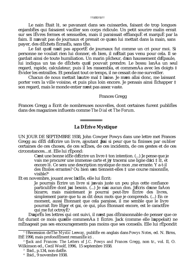### ††ã†33†ã††

Le nain Ètait l‡, se pavanant dans ses cuissardes, faisant de trop longues enjambÈes qui faisaient vaciller son corps ridicule. Un petit sourire malin errait sur ses lËvres fermes et sensuelles, mais il paraissait efflanquÈ et marquÈ par la faim. Il n avait pas de journaux et prenait ce qu on lui mettait dans la main, sans payer, des dÈchets ÈcrasÈs, sans tÍte.

Le fait qu il n ait pas apportÈ de journaux fut comme un cri pour moi. Si personne ne voulait rien lui donner, eh bien, il n Ètait pas venu pour cela. Il se gardait ainsi de toute humiliation. Un marin pÍcheur, d un haussement d Èpaule, lui indiqua un tas de dÈchets qu il pouvait prendre. Le bossu lanÁa un seul regard, rapide, calculateur, puis il les rassembla, et commenÁa avec les doigts ‡ Èvider les entrailles. Et pendant tout ce temps, il ne cessait de me surveiller.

Chacun de nous mettait l'autre mal  $\ddagger$  l'aise. Je m en allai donc, me laissant porter vers la ville voisine, et puis plus loin encore. Je pensais ainsi Èchapper ‡ son regard, mais le monde entier n est pas assez vaste.

### Frances Gregg

Frances Gregg a Ècrit de nombreuses nouvelles, dont certaines furent publiÈes dans des magazines influents comme *The Dial* et *The Forum*.

# **La DÈrive Mystique**<sup>1</sup>

UN JOUR DE SEPTEMBRE 1938, John Cowper Powys dans une lettre met Frances Gregg au dÈfi d Ècrire un livre, ajoutant J ai si peur que tu finisses par *oublier* certaines de ces choses, de ces scËnes, de ces incidents, de ces gestes et de ces circonstances...≤ <sup>2</sup> . Elle lui rÈpond:

C est une bonne idÈe d Ècrire un livre ‡ ton intention. (...) Je pense que je vais me procurer une immense carte et j y tracerai une ligne d ici  $\ddagger$  l $\ddagger$ , et encore l‡. Ce sera une description mystique de mon ,me errante. Y a-t-il des Ètoiles errantes? Ou bien s en tiennent-elles  $\ddagger$  une course raisonnÈe, visible?<sup>3</sup>

Et en novembre, jouant avec l idÈe, elle lui Ècrit:

Je pourrais Ècrire un livre si javais juste un peu plus cette confiance particuliËre dont j ai besoin. (...) Je n ai aucun don. J Ècris d une faÁon bizarre, mais maintenant je pourrai peut-Ítre Ècrire des livres, simplement parce que tu as dit deux mots que je comprends. (...) En ce moment, aussi Ètonnant que cela paraisse, il me semble que le livre pourrait Ítre lÈger et gai, ce qui, plus Ètonnant encore, est le caractËre qui me fut octroy $\tilde{E}^4$ .

D aprËs les lettres qui ont suivi, il n est pas dÈraisonnable de penser que ce fut durant ce mois qu elle commenÁa  $\ddagger$  Ècrire. Jack (comme elle l appelait) ne mÈnageait pas ses encouragements pas moins que ses conseils. Elle lui rÈpondit

<sup>1</sup> †Recension de *The Mystic Leeway*, publiÈe en anglais dans *Powys Notes*, ed. N. Birns, EtÈ 1998, mais profondÈment remaniÈe ici .

<sup>2</sup> †*Jack and Frances: The Letters of J.C. Powys and Frances Gregg*, non tr., vol. II, O. Wilkinson ed., Cecil Woolf, 1996, 15 septembre 1938.

<sup>3</sup> Ibid., p.134, non datÈe.

<sup>4</sup> Ibid., 9 novembre 1938.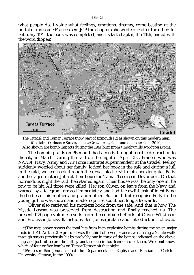#### ††ã†34†ã††

what people do. I value what feelings, emotions, dreams, come beating at the portal of my soul. Frances sent JCP the chapters she wrote one after the other. In February 1941 the book was completed, and its last chapter, the 11th, ended with the word hope.



The Citadel and Tamar Terrace (now part of Exmouth Rd as shown on this modern map.) (*Contains Ordnance Survey data* © *Crown copyright and database right 2010*). Also shown are bomb impacts during the 1941 blitz (*from timothymills.wordpress.com*).

The bombing raids on Plymouth had already brought terrible destruction to the city in March. During the raid on the night of April 21st, Frances who was NAAFI (Navy, Army and Air Force Institute) superintendent at the Citadel, feeling suddenly worried about her family, locked her book in the safe and during a lull in the raid, walked back through the devastated city $^{\circ}$  to join her daughter Betty and her aged mother Julia at their house on Tamar Terrace in Devonport. On that horrendous night the raid then started again. Their house was the only one in the row to be hit. All three were killed. Her son Oliver, on leave from the Navy and warned by a telegram, arrived immediately and had the awful task of identifying the bodies of his mother and grandmother. But he didn t recognise Betty in the young girl he was shown and made inquiries about her, long afterwards.

Oliver also retrieved his motherπs book from the safe. And that is how *The Mystic Leeway* was preserved from destruction and finally reached us. The present 126 page volume results from the combined efforts of Oliver Wilkinson and Professor Jones<sup>6</sup>. It includes Ben Jones preface and introduction, followed

<sup>&</sup>lt;sup>5</sup> The map above shows the total hits from high explosive bombs during the seven major raids in 1941. As the 21 April raid was the third of seven, Frances was facing a 2 mile walk through streets previously hit by probably one in three of the bombs indicated on the above map and just hit before the lull by another one in fourteen or so of them. We don t know which of four or five bombs on Tamar Terrace hit that night.

<sup>&</sup>lt;sup>6</sup> Professor Ben Jones chaired the Departments of English and Russian at Carleton University, Ottawa, in the 1990s.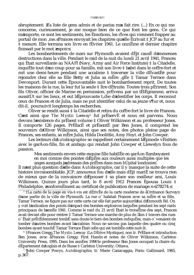#### ttäß5tätt

abruptement: Ta liste de gens admis et de parias m a fait rire. (...) En ce qui me concerne, curieusement, je me moque bien de ce que font les gens. Ce qui m importe, ce sont les sentiments, les Emotions, les rives qui viennent frapper au portail de mon, me. Frances envoyait les chapitres qu elle Ecrivait ‡ JCP au fur et ‡ mesure. Elle termina son livre en fEvrier 1941. Le onziEme et dernier chapitre finissait par le mot espoir.

Les bombardements de mars sur Plymouth avaient dÈi‡ causÈ d immenses destructions dans la ville. Pendant le raid de la nuit du lundi 21 avril 1941. Frances qui Ètait surveillante au NAAFI (Navy, Army and Air Force Institute) ‡ la Citadelle, inquiÈte tout d un coup pour sa famille, mit son livre  $\ddagger$  l abri dans le coffre-fort et mit une demi-heure pendant une accalmie  $\ddagger$  traverser la ville dÉvastÉe pour rejoindre chez elle sa fille Betty et Julia sa mÊre ,gÈe ‡ Tamar Terrace dans Devonport. Durant cette Epouvantable nuit le bombardement reprit. De toutes les maisons de la rue, la leur fut la seule  $\ddagger$  Itre dEtruite. Toutes trois pErirent. Son fils Oliver, officier de Marine en permission, prÈvenu par un tÈlÈgramme, arriva aussitUt sur les lieux, et eut l'Eprouvante t, che d identifier les corps. Il reconnut ceux de Frances et de Julia, mais ne put identifier celui de sa jeune s¶ur et, nous dit-il, poursuivit longtemps les recherches.

Oliver se rendit aussi  $\ddagger$  la Citadelle et retira du coffre-fort le livre de Frances. C est ainsi que The Mystic Leeway<sup>6</sup> fut prEservE et nous est parvenu. Nous devons l'existence du prÈsent volume ‡ Oliver Wilkinson et au professeur Jones. Il comporte 126 pages. PrÈfacÈ et prÈsentÈ par Ben Jones, il comprend les souvenirs d'Oliver Wilkinson, ainsi que ses notes, des photos pleine page de Frances, ses enfants, sa mÊre Julia, Hilda Doolittle, Amy Hoyt. et John Cowper.

Les lecteurs d Autobiographie se rappellent certainement l Episode vEnitien avec le garÁon-fille, fin et ambigu qui rendait John Cowper et Llewelyn fous de passion.

Mes sentiments envers cette exquise fille habillEe en garÁon flamboyaient en moi comme des pointes d EpEes aux couleurs aussi multiples que les anges auxquels j adressais des priEres dans mon hUpital londonien?

Il n est plus question d'elle dans Autobiographie, car il y manque la suite de cette histoire invraisemblable. JCP, amoureux fou d elle mais dÈj‡ mariÈ ne trouva rien de mieux que de la convaincre d'Epouser  $\ddagger$  sa place son meilleur ami, Louis Wilkinson. Quinze jours plus tard, le 8 avril 1912 Frances Epousa Louis ‡ Philadelphie, conformEment au certificat de publication de mariage n 278274.

<sup>5</sup> †La carte de la page en vis-<sup>†</sup>-vis est dÈrivÈe de la carte moderne de aOrdnance Survey d une partie de la ville de Plymouth. La rue o habitait Frances avec sa mÊre et sa fille, Tamar Terrace, ne figure pas sur cette carte car elle fait partie aujourd hui d Exmouth Rd. On y voit l indication des points d impact des bombes explosives larguÈes pendant les sept raids principaux de l annÈe 1941. Comme le raid du 21 avril Ètait le troisiËme des sept. Frances avait devant elle pour rentrer  $\ddagger$  Tamar Terrace une marche de plus de 3km  $\ddagger$  travers des rues o Etait prEcEdemment tombE sans doute le tiers des bombes indiquEes, mais o venaient de tomber d'autres bombes avant l'accalmie. Nous ne savons pas laquelle des quatre ou cinq bombes ayant touchE Tamar Terrace Etait celle qui est tombEe cette nuit-1‡.

<sup>6</sup> †Frances Gregg, *The Mystic Leeway* (La DÈrive Mystique), non tr. PrÈface et introduction Ben Jones, avec aFrances Gregg: First Hand et notes de Oliver Wilkinson, Carleton University Press, 1995. Dans les annÈes 1990 le professeur Ben Jones occupait la chaire du dEpartement d'Anglais et de Russe  $\ddagger$  Carleton University, Ottawa.

John Cowper Powys, Autobiographie, tr. Marie Canavaggia, Paris: Gallimard, 1965, p.367.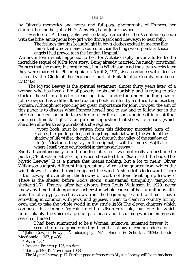by Oliver's memories and notes, and full-page photographs of Frances, her chidren, her mother Julia, H.D., Amy Hoyt and John Cowper.

Readers of *Autobiography* will certainly remember the Venetian episode with the lithe, ambiguous boy-girl who drove Jack and Llewelyn to near folly.

The feelings that this beautiful girl in boy s clothes excited in me rose like flames that were as many-coloured in their flashing sword-points as those angels I had prayed to in the London Hospital.<sup>7</sup>

We never learn what happened to her, for *Autobiography* never alludes to the incredible sequel of JCP  $\overline{s}$  love story. Being already married, he madly convinced Frances that she marry his best friend, Louis Wilkinson. And thus, two weeks later they were married in Philadelphia on April 8, 1912, in accordance with License issued by the Clerk of the Orphans Court of Philadelphia County numbered 278274.≤

*The Mystic Leeway* is the spiritual testament, almost thirty years later, of a woman who has lived a life of poverty, trials and hardship and is trying to take stock of herself in a kind of cleansing ritual, under the understanding gaze of John Cowper. It is a difficult and exacting book, written by a difficult and exacting woman. Although not ignoring her great importance for John Cowper, the aim of this paper is to discuss what Frances herself had to say and to follow her in the intricate journey she undertakes through her life as she examines it in a spiritual and unsentimental light. Taking up his suggestion that she write a book (which she often alludes to as your book), she replies:

> ...†your book must be written from this flickering mercurial aura of Frances, the god-forgotten, god-forgetting material world, the world of the shadow of life.†† Yea, though I walk through the valley of the shadow of life (or ådeath as they say in the original) I will fear no evil<sup> $§††$ </sup>that is where I shall write your book††in that mystic leeway.<sup>9</sup>

She had spontaneously found a perfect title, so it was not really a question she put to JCP, it was a *fait accompli* when she asked him: Can I call the book The Mystic Leeway? It is a phrase that means nothing, but a lot to me.  $10$  Oliver Wilkinson suggests different interpretations: Lee is the quarter from which the wind blows. It is also the shelter against the wind. A ship drifts to leeward. There is the leeway of overtaking, the leeway of work not done: making up leeway. There is the shelter before God's storm: unsustained tranquility, temporary shelter.  $\uparrow$ (17)<sup>11</sup> Frances, after her divorce from Louis Wilkinson in 1920, never knew anything but temporary shelter, the whole course of her tumultuous life was that of a gypsy, as she avows from the beginning: I am like them. I have something in common with jews, and gypsies. I want to claim no country for my own, and to take the whole world in my stride.  $\uparrow$  (55) The eleven chapters which compose this strange aquest unfold a disorderly tale, but one in which, unmistakably, the voice of a proud, passionate and disturbing woman emerges in search of herself.

I had been summoned to be a Woman, unknown, unnamed forever. It seemed to me a grander destiny than that of any queen or goddess or

<sup>7</sup> †John Cowper Powys, *Autobiography*, N.Y. Simon & Schuster, 1934.; London: Macdonald, 1967, p.406.

<sup>8</sup> Psalm 23:4

<sup>10</sup> Ibid., p.140, 12 November 1938

<sup>11</sup> *The Mystic Leeway,* p.17. Further page references to *Mystic Leeway* will be in brackets.

<sup>9</sup> *Jack and Frances* p.135, no date.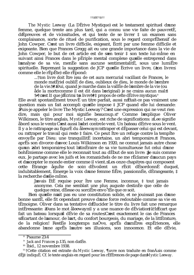*The Mystic Leeway* (La DÈrive Mystique) est le testament spirituel d une femme, quelque trente ans plus tard, qui a connu une vie faite de pauvretÈ, d Èpreuves et de vicissitudes, et qui tente de se livrer  $\ddagger$  un examen sans complaisance, sorte de rituel de purification, sous le regard comprÈhensif de John Cowper. C est un livre difficile, exigeant, Ècrit par une femme difficile et exigeante. Bien que Frances Gregg ait eu une grande importance dans la vie de John Cowper, le but de cet article est de s en tenir  $\ddagger$  son texte lui-mime en suivant ainsi Frances dans le pÈriple mental complexe qu'elle entreprend dans l analyse de sa vie, menÈe sans aucune sentimentalitÈ, sous une lumiËre spirituelle. Reprenant la suggestion de JCP qu elle Ècrive un livre, (ton livre comme elle le rÈpËte) elle rÈpond:

...†ton livre doit Ítre issu de cet aura mercurial vacillant de Frances, le monde matÈriel oubliÈ de dieu, oublieux de dieu, le monde de l'ombre de la vie.†† Oui, quand je marche dans la vallÈe de l ombre de la vie (ou åde la mort comme il est dit dans l'original) je ne crains aucun mal<sup>8</sup>

† †c est l‡ que j Ècrirai to livre††‡ propos de cette dÈrive mystique.9

Elle avait spontanËment trouvÈ un titre par $\hat{a}$ it, aussi n $\hat{b}$ tait-ce pas vraiment une question mais un fait accompli qu elle impose  $\ddagger$  JCP quand elle lui demande: Puis-je appeler le livre The Mystic Leeway? C est une expression qui ne veut rien dire, mais qui pour moi signifie beaucoup.<sup>10</sup> Comme lexplique Oliver Wilkinson, le titre anglais, *Mystic Leeway*, est riche de significations: Lee signifie åbord sous le vent. C est aussi l abri contre le vent. Un bateau dÈrive sous le vent. Il y a le rattrapage au figurÈ du à leeway : rattraper et dÈpasser celui qui est devant, ou rattraper le travail qui reste ‡ faire. Ce peut Ítre un refuge contre la tempÍte envoyÈe par Dieu: une tranquillitÈ incertaine, un abri temporaire.<sup>11</sup> Frances, aprËs son divorce d avec Louis Wilkinson en 1920, ne connut jamais autre chose qu un abri temporaire, tout l itinÈraire de sa vie tumultueuse fut celui d une bohÈmienne comme elle le reconnait tout au dÈbut de son livre: Je suis comme eux. Je partage avec les juifs et les romanichels de ne me rÈclamer d aucun pays et d accepter le monde entier comme il vient. Les onze chapitres qui composent cette Ètrange åquÍte de soiπ dÈvoilent un rÈcit dÈsordonnÈ duquel, indubitablement, Èmerge la voix d'une femme fiËre, passionnÈe, dÈrangeante,  $\ddagger$ la recherche d elle-mÍme.

J avais ÈtÈ requise pour Ítre une Femme, inconnue,  $\ddagger$  tout jamais anonyme. Cela me semblait une plus auguste destinÈe que celle de quelque reine, dÈesse ou sorciËre envo˚tÈe que ce soit.

Bien qu elle n ait pas eu une constitution solide, et ne jouissait pas d une bonne santÈ, elle fit cependant preuve d une force redoutable comme sa vie en tÈmoigne. Oliver dans sa tentative d Èlucider le titre du livre fait une remarque intÈressante: Dans le mot àleeway il y a une nuance de dÈviation†ã†l Ècart que fait un bateau lorsquil dÈvie de sa route C est exactement le cas de Frances s Ècartant de l amour, de l art, du confort bourgeois, du mariage, de la littÈrature, de la religion! RestÈe longtemps naÔve, aprËs d amËres expÈriences, elle abandonne lune aprËs lautre ses illusions, son innocence. Et elle dÈvie,

<sup>8</sup> Psaume 23:4

<sup>9</sup> *Jack and Frances* p.135, non datÈe.

<sup>10</sup> Ibid., 12 novembre 1938.

<sup>11</sup> †Cette citation est extraite du *Mystic Leeway*, ¶uvre non traduite en franÁais comme dÈj‡ indiquÈ. Cf. le texte anglais en regard pour les rÈfÈrences de page dans *Mystic Leeway.*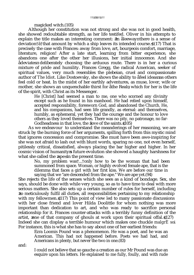magicked witch.(105)

Although her constitution was not strong and she was not in good health, she showed redoubtable strength, as her life testifed. Oliver in his attempts to explain the title makes an interesting comment: In åleeway there is a sense of deviation†ã†that amount by which a ship leaves its intended course.  $\uparrow$  (17) That is precisely the case with Frances: away from love, art, bourgeois comfort, marriage, literature, religion! After a late start, learning from bitter experience, she abandons one after the other her illusions, her initial innocence. And she adeviates deliberately choosing the arduous route. There is in her a curious mixture of pride and humility. Frances Gregg, the radical American, seeker of spiritual values, very much resembles the plebeian, cruel and compassionate author of *The Idiot*. Like Dostoevsky, she shows the ability to afeel ideas as others feel cold or heat. In the midst of her earthly adventures, as muse, lover, wife or mother, she shows an unquenchable thirst for åthe Real, which for her is the life of the spirit, with Christ as its Messenger.

He [Christ] had seemed a man to me, one who scorned any divinity except such as he found in his manhood. He had relied upon himself, accepted responsibility, foresworn God, and abandoned the Church. He, and his companions, had seen life grandly, as eternal: and themselves, humbly, as ephemeral, yet they had the courage and the honour to love others as they loved themselves. There was no pity, no patronage, no far-Godheadness in that love, the love of the saints.  $(105)$ 

As we endeavour to understand the meanderings of her reasoning, we are struck by the burning force of her arguments, spilling forth from this mystic mind that ignores concession and compromise. She must have been awe-inspiring for she was not afraid to lash out with blunt words, sparing no one, not even herself, pitilessly critical, dissatisfied, always placing the bar higher and higher. In her cosmic vision of humanity s future evolution she showed a haughty harshness for what she called the ape in the present time.

No, my problem was†...†only how to be the woman that had been summoned from space. Woman, or highly evolved female ape, that is the dilemma that faces a girl with her first kiss. We are before our time in saying that we "are descended from the ape." We are ape yet.(94)

She rejects the life of the senses which she sees as a kind of bondage. Sex, she says, should be done with while very young, so as to have time to deal with more serious matters. She also sets up a certain number of rules for herself, including ≥to meticulously fulfil all duties, all responsibilities pertaining to my relationship with my fellowmen. (117) This point of view led to many passionate discussions with her close friend and lover Hilda Doolittle for whom nothing was more important than dedication to art, and who was ready to sacrifice personal relationship for it. Frances counter-attacks with a terribly funny definition of the artist, one of that company of ghouls at work upon their spiritual offal. (127) Indeed she can display a terrible humour which makes one chuckle *malgrÈ soi*. For instance, this is what she has to say about one of her earliest friends:

Ezra Loomis Pound was a phenomenon. He was a poet, and he was an American. This had not happened before. Poets we had had, and Americans in plenty, but never the two in one.(83)

and:

I could not believe that so gauche a creation as our Mr Pound was due an esquire upon his letters. He explained to me fully, foully, and with rude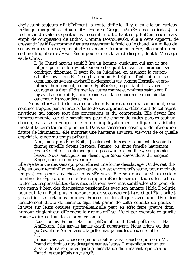choisissant toujours dÈlibÈrÈment la route difficile. Il y a en elle un curieux mÈlange d'orgueil et d'humilitÈ. Frances Gregg, l'AmÈricaine radicale  $\ddagger$  la recherche de valeurs spirituelles, ressemble fort # l auteur plÈbÈien, cruel mais empli de compassion de L Idiot. Comme DostoÔevski, elle a cette capacitÈ de aressentir les idÈes comme d'autres ressentent le froid ou le chaud. Au milieu de ses aventures terrestres, inspiratrice, amante, femme ou mÊre, elle montre une soif inextinguible de aREalitE qui pour elle est la vie de l esprit, dont le Messager est le Christ.

Il [le Christ] m avait semblÈ Itre un homme, quelqu un qui n avait que mÈpris pour toute divinitÈ sinon celle quil trouvait en incarnant sa condition d homme. Il avait foi en lui-mime, en assumait la responsabilitE, avait reniE Dieu et abandonnE lEglise. Tant lui que ses compagnons avaient envisagE noblement la vie, comme Eternelle: et euxmImes, humblement, comme EphEmEres, cependant ils avaient le courage et la dignitE d aimer les autres comme eux-mimes s aimaient. Il n y avait aucune pitiÈ, aucune condescendance, aucun dieu lointain dans cet amour, l amour des saints.

Nous efforÁant de à suivre dans les mÉandres de son raisonnement, nous sommes frappEs par la force br<sup>o</sup>lante de ses arguments, dEbordant de cet esprit mystique qui ignore tout des concessions et du compromis. Elle devait Ître impressionnante, car elle n avait pas peur de cingler de rudes paroles tout un chacun, sans se mÈnager elle-mime, impitovablement critique, insatisfaite, mettant la barre toujours plus haut. Dans sa conscience cosmique de l Evolution future de l humanitE, elle montrait une hautaine sEvEritE vis-‡-vis de ce quelle appelait le singe du temps prÈsent.

Non, mon probl $\ddot{E}$ me Etait†...†seulement de savoir comment devenir la femme appelfie depuis l'espace. Femme, ou singe femelle hautement EvoluEe, tel est le dilemne qui se pose  $\ddagger$  une jeune fille  $\ddagger$  son premier baiser. Nous anticipons en disant que nous descendons du singe. Singes, nous le sommes encore.

Elle rejette la vie des sens qui pour elle est une forme d esclavage. On devrait, ditelle, en avoir terminE avec le sexe quand on est encore trEs jeune, pour avoir du temps  $\ddagger$  consacrer aux choses plus sErieuses. Elle se donne aussi un certain nombre de rÉgles, dont celle de remplir mÉticuleusement toutes les t, ches, toutes les responsabilitEs dans mes relations avec mes semblables. Ce point de vue mena ‡ bien des discussions passionnEes avec son amante Hilda Doolittle, pour qui rien n Ètait plus important que de se consacrer  $\ddagger$  l art, et qui Ètait prite  $\ddagger$ y sacrifier ses relations intimes. Frances contre-attaque avec une dEfinition terriblement drÙle de l'artiste, qui fait partie de cette cohorte de goules ‡ l'Iuvre sur leurs ordures spirituelles. Elle peut en effet faire preuve d'un humour cinglant qui dÈclenche le rire malgrÈ soi Voici par exemple ce quelle trouve  $\ddagger$  dire sur l un de ses premiers amis.

Ezra Loomis Pound Etait un phEnomEne. Il Etait poEte et il Etait AmEricain. Cela n avait jamais existE auparavant. Nous avions eu des poËtes, et des AmEricains ‡ la pelle, mais jamais les deux ensemble.  $\left( \ldots \right)$ 

Je n arrivais pas  $\ddagger$  croire qu une créature aussi gauche que notre Mr. Pound ait droit au titre d esquire sur ses lettres. Il m expliqua sur un ton aussi autoritaire que vulgaire et l'insistance d'un manant, que cela lui Etait d'et que j Etais un , ne b, tE.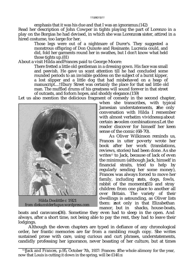### ††ã†40†ã††

emphasis that it was his due and that I was an ignoramus.(142) Read her description of John Cowper in tights playing the part of Lorenzo in a play on the Borgias he had devised, in which she was Lorenzo s sister, attired in a hired costume, too large for her.

Those legs were out of a nightmare of Durer's. They suggested a monstrous offspring of Don Quixote and Rosinante. Lucrezia could, and did, fold her garments round her in swathes, but I don't know what held those tights up.(81)

About a visit Hilda andFrances paid to George Moore:

There fretted a little old gentleman in a dressing gown. His face was small and peevish. He gave us scant attention till he had concluded some rounded periods to an invisible goddess on the subject of a burnt kipper, a lost slipper and a little dog that had misbehaved on a heap of manuscript....†Ebury Street was certainly the place for that sad little old man. The muffled drums of his greatness will sound forever in that street of outcasts, and forlorn hopes, and shoddy elegance.(159)

Let us also mention the delicious fragment of comedy in the second chapter,



Hilda Doolittle *c* 1921 *from diekunstderfugue.wordpress.com*

when she transcribes, with typical Jamesian understatements, the only conversation with Hilda I remember with almost verbatim vividness, about certain woolen combinations. Let the reader discover for himself her keen sense of the comic (68-70).

As Oliver Wilkinson reminds us, Frances in utter poverty wrote her book after her work (translations, reviews, stories) had been done. As she writes<sup>12</sup> to Jack, because of lack of even the minimum (although Jack, himself in financial straits, tried to help by regularly sending her some money), Frances was always forced to move her family, including cats, dogs, fowls, rabbit of the moment  $(55)$  and stray children from one place to another all over Britain. The variety of their dwellings is astounding, as Oliver lists them: not only in that Elizabethan manor, but in shacks, house-boats,

boats and caravans (36). Sometime they even had to sleep in the open. And always, after a short time, not being able to pay the rent, they had to leave their lodgings.

Although the eleven chapters are typed in defiance of any chronological order, her frantic memories are far from a rambling rough copy. She writes sustained prose with care, using curious and curt phrases, understatements, candidly professing her ignorance, never boasting of her culture, but at times

<sup>&</sup>lt;sup>12</sup> †*Jack and Frances, p.95, October 7th, 1937: Frances: The whole alimony for the year,* now that Louis is cutting it down in the spring, will be £140.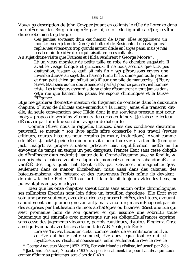Voyez sa description de John Cowper jouant en collants le rÙle de Lorenzo dans une pi $\overline{E}$ ce sur les Borgia imagin $\overline{E}$ e par lui, et o elle figurait sa s¶ur, revitue d une robe bien trop large :

Ces jambes sortaient d'un cauchemar de D rer. Elles suggÈraient un monstrueux rejeton de Don Quichotte et de Rosinante. Lucrezia pouvait replier ses vitements trop grands autour d elle en larges pans, mais je n ai pas la moindre idÈe de ce qui faisait tenir ces collants.

Au sujet d une visite que Frances et Hilda rendirent ‡ George Moore<sup>12</sup> :

L‡ un vieux monsieur de petite taille en robe de chambre s agaÁait. Il avait le visage EtriquE et grincheux. Il ne nous accorda que trEs peu d attention, jusqu  $\ddagger$  ce qu il ait mis fin  $\ddagger$  ses pEroraisons envers une invisible dEesse au sujet d un hareng fumE br lE, d une pantoufle perdue et d un petit chien qui s Etait oubliE sur une pile de manuscrits....†Ebury Street Ètait sans aucun doute l endroit parfait pour ce pauvre vieil homme triste. Les tambours assourdis de sa gloire rEsonneront ‡ tout jamais dans cette rue que hantent les parias, les espoirs chimetriques et la fausse ElEgance.

Et je me garderai d omettre mention du fragment de comEdie dans le deuxiEme chapitre, o avec de dElicats sous-entendus  $\ddagger$  la Henry James elle transcrit, ditelle, la seule conversation avec Hilda dont je me souviens presque mot pour mot,  $\ddagger$  propos de certains vitements de corps en laine ..., Je laisse le lecteur dÈcouvrir par lui-mime son don ravageur de labsurde.

Comme Oliver nous le rappelle, Frances, dans des conditions d'extrime pauvretE, se mettait  $\ddagger$  son livre aprEs s fitre consacrEe  $\ddagger$  son travail (revues critiques, courtes histoires pour certains journaux, traductions). Ayant comme elle l Ecrit  $\ddagger$  Jack<sup>13</sup>  $\ddagger$  peine le minimum vital pour faire vivre sa famille (bien que Jack, malgrÈ sa propre situation prÈcaire, l ait rÈguliËrement aidÈe en lui envoyant de temps en temps un peu d argent), Frances Etait sans cesse obligEe de dÈmÈnager d'un endroit  $\ddagger$  l'autre de la Grande-Bretagne avec sa famille, y compris chats, chiens, volailles, lapin du moment et enfants abandonnEs. La variEtE des logis quils habitErent citEs par Oliver est inimaginable: pas seulement dans ce manoir Elizabethain, mais aussi dans des cabanes, des bateaux-maisons, des bateaux et des caravanes. Parfois mime ils devaient dormir ‡ la belle Ètoile. TÙt ou tard il leur fallait toujours vider les lieux, ne pouvant plus en payer le loyer.

Bien que les onze chapitres soient Ecrits sans aucun ordre chronologique, ses mEmoires Eperdus sont loin d Itre un brouillon chaotique. Elle Ecrit avec soin une prose soutenue, avec de curieuses phrases h, chEes, des litotes, avouant candidement son ignorance, ne vantant jamais sa culture, mais mEnageant parfois des surprises par l'utilisation de mots archaÔques ou bizarres: C est une rue qui s est promente hors de son quartier et qui assume une sobriete toute britannique qui s installe avec pittoresque sur ses obliquitEs. Frances exprime sans cesse des jugements vigoureux, parfois caustiques, d autres Elogieux. C est ainsi qu Evoquant avec tristesse la mort de W.B. Yeats, elle Ecrit:

Lire ses ¶uvres, l Ecouter, c Etait comme tenter de se remEmorer un rÍve, ce rive qui hante notre sommeil, rive dans lequel tout ce qui est mystÈrieux est rÈsolu, et nous *savons*, enfin, seulement le rIve, le rIve, le

<sup>&</sup>lt;sup>12</sup> George Augustus Moore (1852-1933), Ecrivain irlandais rEaliste, influencE par Zola.

 $13$  *Hack and Frances*, 7 octobre 1937: La pension alimentaire pour l ann<sup>Ee</sup>, que Louis compte rÈduire au printemps, sera alors de £140.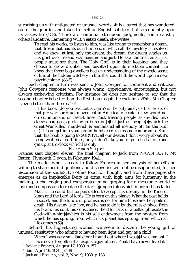### ††ã†42†ã††

surprising us with antiquated or unusual words: It is a street that has wandered out of the quartier and taken to itself an English sobriety that sets quaintly upon its askewities (158). There are continual strenuous judgments, some caustic, others laudative. Lamenting W.B. Yeats s death, she writes:

To read his works, to listen to him, was like trying to remember a dream, that dream that haunts our slumbers, in which all the mystery is resolved and we *know*, at last, only the dream, the dream, the dream evades us. His grief over Ireland was genuine and just. He saw the Irish as all just people must see them. The Holy Grail is in their keeping, and they choose to grow drunken and besotted upon its ineffable content. He knew that those bog-dwellers had an understanding of the mystic secret of life, of the hidden witchery in life, that could lift the world upon a new psychic plane. (88-9)

Each chapter in turn was sent to John Cowper for comment and criticism. John Cowper's response was always warm, appreciative, encouraging, but not always eschewing criticism. For instance he does not hesitate to say that the second chapter is better than the first. Later again he exclaims: This 5th Chapter is even *better* than the rest! <sup>13</sup>

...†this book (do you realize *that*, girl?) *is the only analysis that exists* of that pre-war spriritual movement in America to create a new world not on communistic *or* fascist lines†≠†not treating people as divided into classes bourgeois-proletarian & so on†≠†but just *as people*†≠†which the Great War killed, murdered, & annihilated all memory of† *†in the bud*! (...)†If I can get into your proud-humble criss-cross no-compromise Skull that this book is going to SURVIVE all our deaths I don't worry about it's being written at odd times; only I don't like you to go to bed at one and get up at 6 o'clock *wh*[*ich*] is only

### *Five Hours Sleep* <sup>14</sup>

Frances sent chapter eleven, the final chapter, to Jack from NAAFI R.A.F. Mt Batten, Plymouth, Devon, in February 1941.

The reader who is ready to follow Frances in her analysis of herself and willing to share her indignations and discoveries will not be disappointed, for her excursion of the soul  $\uparrow$ (163) offers food for thought, and from these pages she emerges as an implacable Deity in arms, with high aims for humanity in the making, a challenging and exasperated mind groping for a messianic world of love and compassion to replace the dark ajungle into which mankind has fallen.

Man, if he could but be persuaded to accept his destiny, is the King of kings and the Lord of lords. He is born on this planet. What the past holds in secret, and the future in promise, is not for him; those are the spoils of death. His destiny is to live, and he has to do it by the rules evolved from his brain, his soul, his conscience, the††for lack of a better phrase††the God-within-him†≠†which is his sole endowment from the mystery from which he has sprung, from which his planet has sprung, from which all life comes.†(63)

Behind this high-strung woman we seem to discern the young girl of unusual sensitivity who admits to having been light and gay as a child :

When I was very small†≠†before I found out where I was†≠†I was radiant. I have never forgotten that exquisite joyfulness,††but I have never lived it.<sup>15</sup>

<sup>13</sup> *Jack and Frances,* August 17, 1939, p.157.

<sup>&</sup>lt;sup>14</sup> Ibid., April 19, 1939, p.149

<sup>15</sup> *Jack and Frances,* vol. 2, Nov. 9, 1938, p.138.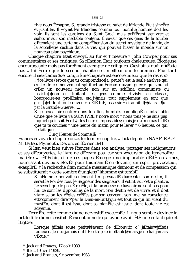### ttã#3tãtt

rive nous Echappe. Sa grande tristesse au sujet de l Irlande Etait sincEre et justifiÈe. Il voyait les Irlandais comme tout honnite homme doit les voir. Ils sont les gardiens du Saint Graal mais prÈfËrent senivrer et s abrutir sur son ineffable contenu. Il savait que ces gens de la tourbe dÈtenaient une certaine comprÈhension du secret mystique de la vie, de la sorcellerie cachEe dans la vie, qui pouvait hisser le monde sur un nouveau plan psychique.

Chaque chapitre Etait envoyE au fur et  $\ddagger$  mesure  $\ddagger$  John Cowper pour ses commentaires et ses critiques. Sa rÈaction Ètait toujours chaleureuse, Elogieuse, encourageante mais pas forcEment exempte de critiques. C est ainsi qu il n hEsite pas  $\ddagger$  lui Ecrire que le second chapitre est meilleur que le premier. Plus tard encore, il s exclame: Ce cinqui $\ddot{E}$ mechapitre est encore mieux que le reste. <sup>14</sup>

...†ce livre (est-ce que tu comprends cela, petite?) est la seule analyse qui existe de ce mouvement spirituel amEricain d avant-guerre qui voulait crÈer un nouveau monde non sur un schÈma communiste ou fasciste† thon en traitant les gens comme divisEs en classes, bourgeoise ou prolEtaire, etc. † mais tout simplement en tant que gens<sup>†</sup> fet dont tout souvenir a EtE tuE, assassinE et annihilE *dans 1 Juf par* la Grande Guerre! (...)

Si je peux faire entrer dans ton fier, humble, compliquÈ et intraitable Cr, ne que ce livre va SURVIVRE  $\ddagger$  notre mort  $\ddagger$  nous tous je ne suis pas inquiet qu il soit Ecrit ‡ des heures impossibles; mais je n aime pas l idEe que tu te couches  $\ddagger$  une heure du matin pour te lever  $\ddagger$  6 heures, ce qui ne fait que

Cing Heures de Sommeilã 15 Frances envoya le chapitre onze, le dernier chapitre,  $\ddagger$  Jack depuis le NAAFI R.A.F. Mt Batten, Plymouth, Devon, en fEvrier 1941.

Si l on veut bien suivre Frances dans son analyse, partager ses indignations et ses dEcouvertes, le livre ne dEcevra pas, car son excursion de l, me offre matiËre ‡ rÈflÈchir, et de ces pages Èmerge une implacable dÈitÈ en armes, nourrissant des buts ElevEs pour l'humanitE en devenir, un esprit provocateur, exaspÈrÈ, ‡ la recherche d'un monde messianique d'amour et de compassion qui se substituerait ‡ cette sombre ajungle o l homme est tombÈ.

Si l Homme pouvait seulement Itre persuadE d accepter son destin, il serait le Roi des rois, le Seigneur des seigneurs. Il est nÈ sur cette planËte. Le secret que le passE recEle, et la promesse de l avenir ne sont pas pour lui; ce sont les dÉpouilles de la mort. Son destin est de vivre, et il doit vivre selon les rEgles crEEes par son cerveau, son me, sa conscience, et††comment dire††par le Dieu-en-lui††qui est tout ce qui lui vient du mystEre dont il est issu, dont sa planEte est issue, dont toute vie est advenue.

DerriËre cette femme d une nervositÈ exacerbÈe, il nous semble deviner la petite fille d une sensibilitÈ exceptionnelle qui avoue avoir ÈtÈ une enfant gaie et  $l$ Eg $E$ re:

Lorsque j Ètais toute petite††avant de dÈcouvrir o j Ètais††j Ètais radieuse. Je n ai jamais oubliÈ cette joie ineffable††mais je ne l ai jamais  $v\tilde{E}$ cue.<sup>16</sup>

<sup>&</sup>lt;sup>14</sup> Jack and Frances, 17 ao<sup>t</sup> 1939

<sup>&</sup>lt;sup>15</sup> Ibid., 19 avril 1939.

<sup>&</sup>lt;sup>16</sup> Jack and Frances. 9 novembre 1938.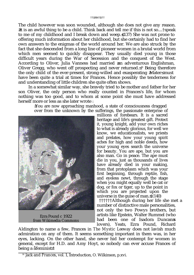The child however was soon wounded, although she does not give any reason. It is an awful thing to be a child. Think back and tell me if this is not so....†speak to me of my childhood and I break down and weep. (137) She was not prone to offering much information about her childhood, but she certainly had to find her own answers to the enigmas of the world around her. We are also struck by the fact that she descended from a long line of pioneer women in a brutal world from which men seemed to quickly disappear. They usually died young in those difficult years during the War of Secession and the conquest of the West. According to Oliver, Julia Vanness had married an adventurous Englishman, Oliver Gregg, who went off prospecting and never returned.  $16$  Being therefore the only child of the ever-present, strong-willed and exasperating Mater must have been quite a trial at times for Frances. Hence possibly the tenderness for and understanding of little children she quite often shows.

In a somewhat similar way, she bravely tried to be mother *and* father for her son Oliver, the only person who really counted in Frances's life, for whom nothing was too good, and to whom at some point she must have addressed herself more or less as she later wrote :

> ≥You are now approaching manhood, a state of consciousness dragged over from the unknown by the sufferings, the passionate enterprise of



Ezra Pound *c* 1922 *from Wikimedia Commons*

millions of forebears. It is a sacred heritage and life's greatest gift. Protect it, young knight, add your own riches to what is already glorious, for well we know, we educationalists, we priests and prelates, how your young spirit aches for high and noble deeds, how your young eyes search the universe for beauty. You are ape, but you are also man. Go in peace. The ape must die in you, just as thousands of lives have already died in your making, from that protoplasm which was your first beginning, through reptile, fish, and eyeless newt, through the stage when you might equally well be cat or dog, or fox or tiger, up to the point in which you are projected upon the universe in the guise of man.  $\dot{\tau}(140)$ 

††††††Although during her life she met a number of distinctive male personalities, not only the two Powys brothers, but artists like Epstein, Walter Rummel (who had been one of Isadora Duncans lovers), Yeats, Ezra Pound, Richard

Aldington to name a few, Frances in *The Mystic Leeway* does not lavish much admiration on any of them. It seems something important in them was, in her eyes, lacking. On the other hand, she never hid her contempt for women in general, except for H.D. and Amy Hoyt, so nobody can ever accuse Frances of being a åfeminist!

<sup>&</sup>lt;sup>16</sup> *Jack and Frances*, vol. 1, Introduction, O. Wilkinson, p.xvi.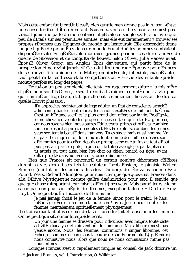Mais cette enfant fut bientÙt blessE, bien qu elle n en donne pas la raison. C est une chose terrible d'Itre un enfant. Souvenez-vous et dites-moi si ce n'est pas vrai.... j' qu'on me parle de mon enfance et j Eclate en sanglots... Elle ne livre que peu de dÈtails sur ses premiËres annÈes, mais elle eut certainement ‡ trouver ses propres rÉponses aux Énigmes du monde qui l'entourait. Elle descendait d'une longue lignEe de pionniEres dans un monde brutal d o les hommes semblaient disparaÓtre vite. En gÈnÈral, ils mouraient jeunes pendant ces dures annÈes de guerre de SEcession et de conquite de l'ouest. Selon Oliver, Julia Vaness avait EpousE Oliver Gregg, un Anglais Epris d'aventure, qui partit faire de la prospection et ne revint jamais. <sup>17</sup> Cela dut Itre une rude Epreuve pour Frances de se trouver fille unique de la Mater, omniprEsente, inflexible, exaspErante. D o peut-tre la tendresse et la comprèhension vis-t-vis des enfants quelle montre parfois au long des pages.

De faÁon un peu semblable, elle tenta courageusement d Ítre ‡ la fois mÊre et përe pour son fils Oliver, le seul Itre qui ait vraiment comptet dans sa vie, pour qui rien n Ètait trop beau, et  $\ddagger$  qui elle eut certainement l occasion de dire ce qu elle Ecrivit plus tard :

Tu approches maintenant de l, ge adulte, un Ètat de conscience arrachÈ # l inconnu par les souffrances, les actions exaltEes de millions d aÔeux. C est un hÉritage sacrÈ et le plus grand don offert par la vie. ProtËge-le, jeune chevalier, ajoute tes propres richesses  $\ddagger$  ce qui est dÈj $\ddagger$  glorieux, car nous savons bien, nous autres Educateurs, pritres et prElats, combien ton jeune esprit aspire  $\ddagger$  de nobles et ElevEs exploits, combien tes jeunes yeux scrutent la beautE dans l univers. Tu es singe, mais aussi homme. Va en paix. Le singe en toi doit mourir, tout comme des milliers de vies sont dÈj‡ mortes pour te crÈer, depuis ce protoplasme que tu fus au tout dÈbut puis passant par le reptile, le poisson, le triton aveugle, et par la phase o tu aurais pu tout aussi bien Itre chat ou chien, renard ou tigre, avant d Itre projetE dans l univers sous forme d homme.

Bien que Frances ait rencontrÈ un certain nombre d'hommes cElEbres durant sa vie, des artistes tels le sculpteur Jacob Epstein, le pianiste Walter Rummel (qui fut un des amants d Isadora Duncan), des Ecrivains comme Ezra Pound, Yeats, Richard Aldington, pour n en citer que quelques-uns, Frances dans aLa DErive Mystique ne montre guEre d admiration pour eux. Il semble que quelque chose d important leur faisait dÈfaut ‡ ses yeux. Mais par ailleurs elle ne cache pas non plus son mEpris des femmes, exception faite de H.D. et de Amy Hoyt. On ne peut guEre l accuser de fEminisme!

Je n ai jamais choisi le jeu de la femme, sinon pour le trahir. Je hais, metal prise, exfected a femme et toute son fluvre. Je ne peux souffrir les femmes, mentalement, spirituellement, physiquement.

Il est ainsi d autant plus curieux de la voir prendre fait et cause pour les femmes. On ne peut que s Étonner lorsqu elle Écrit:

> Un jour une femme se dressera pour ridiculiser avec mÉpris toute cette activitÈ d analyse et d invention de l homme. Mais l heure n est pas venue encore. Nous, les femmes, continuons  $\ddagger$  singer l homme, cet Echec, et sommes encore sous la coupe de son Enorme bluff ‡ prEtendre nous connaÔtre nous, alors que nous ne nous connaissons mime pas nous-m<sup>I</sup>mes.

Lorsque Frances s est si rapidement rangÈe au conseil de Jack d Ècrire un

<sup>&</sup>lt;sup>17</sup> Jack and Frances, vol. 1, Introduction, O. Wilkinson.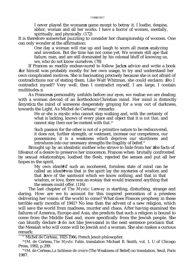I never played the woman s game except to betray it. I loathe, despise, abhor, woman and all her works. I have a horror of women, mentally, spiritually, and physically. (172)

It is therefore somewhat puzzling to consider her championship of women. One can only wonder at the affirmation:

> One day a woman will rise up and laugh to scorn all man s analyzing and invention. But the time has not come yet. We women still ape that failure, man, and are still dominated by his colossal bluff of knowing us, we, who do not know ourselves. (78)

If Frances so readily endeavoured to follow Jack s advice and write a book for him it was probably mostly for her own usage, to try and understand her own complicated motives. She is fascinating precisely because she is not afraid of contradictions nor of stating them. Like Walt Whitman, she could exclaim: Do I contradict myself? Very well, then I contradict myself, I am large, I contain multitudes.

As Frances s personality unfolds before our eyes, we realise we are dealing with a woman devoid of an aorthodox Christian mind. Her mind is distinctly amystic, the mind of someone desperately groping for a way out of darkness, towards the Light. As Michel de Certeau<sup>17</sup> remarks

> He or she is mystic who cannot stop walking and, with the certainty of what is lacking, knows of every place and object that it is *not that*; and cannot stay *there* nor be content with *that*. 18

> Such passion for the other is not of a primitive nature to be rediscovered, it does not, further strength, or vestment, increase our competence, our possessions; it is a weakness which deprives our sturdiness and introduces into our necessary strengths the fragility of belief.<sup>19</sup>

Brought up by an idealistic mother who strove to hide from her the facts of life out of a desire to preserve her innocence, Frances when brutally confronted by sexual relationships, loathed the flesh, rejected the senses and put all her hopes in the spirit.

My own idea††if such an incoherent, formless state of mind can be called an idea†≠†was that in the spirit lay the mysteries of wisdom and that love of the saints of which we know nothing, and that in that wisdom, or love, there was an ecstasy that would transcend anything that the senses could offer. (116)

The last chapter of *The Mystic Leeway* is startling, disturbing, strange and daring. How are we to account for this inspired peroration of a priestess delivering her vision of the world to come? What does Frances prophesy in these terrible early months of 1941? No less than the advent of a new religion, which will save the world from madness, murder and chaos. After having examined the failures of America, Europe and Asia, she predicts that such a religion is bound to come from the Middle East and, more specifically from the Jewish people. She can bluntly declare I do not like Jews and in the next sentence proclaim that the Messiah who will come will be Jewish *and* a woman. She also makes a curious remark:

<sup>17</sup> Michel de Certeau, 1925-1986, French Jesuit philosopher.

<sup>18</sup> †M. de Certeau, *The Mystic Fable*, translation Michael B. Smith, vol. 1, U of Chicago Press, 1992, p.299.

<sup>19</sup> †M. de Certeau, *La faiblesse de croire* (The Weakness of Belief) no translation*,* Seuil, Paris 1987.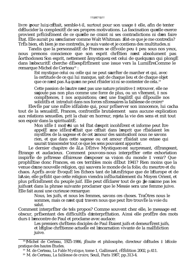livre pour lui, c Etait, semble-t-il, surtout pour son usage  $\ddagger$  elle, afin de tenter d Elucider la complexitE de ses propres motivations. La fascination quelle exerce provient prÈcisÈment de ce quelle ne craint ni ses contradictions ni d en faire Etat. Elle aurait pu s exclamer comme Walt Whitman: Est-ce que je me contredis? TrÊs bien, eh bien je me contredis, je suis vaste et je contiens des multitudes.

Tandis que la personnalitE de Frances se dEvoile peu ‡ peu sous nos yeux, nous prenons conscience que son esprit chrÈtien n'est absolument pas aorthodoxe. Son esprit, nettement amystique, est celui de quelqu un qui plongÈ dans l'obscuritÈ cherche dÈsespÈrÈment une issue vers la LumiËreComme le remarque Michel de Certeau<sup>18</sup> :

Est mystique celui ou celle qui ne peut s arriter de marcher et qui, avec la certitude de ce qui lui manque, sait de chaque lieu et de chaque objet que ce n est pas Áa qu on ne peut rÉsider ici ni se contenter de cela.<sup>19</sup>

Cette passion de l autre n est pas une nature primitive  $\ddagger$  retrouver, elle ne s ajoute pas non plus comme une force de plus, ou un vitement,  $\ddagger$  nos comp $\hat{E}$ tences,  $\ddagger$  nos acquisitions; c est une fragilit $\hat{E}$  qui d $\hat{E}$ pouille nos soliditEs et introduit dans nos forces nEcessaires la faiblesse de croire?<sup>0</sup>

ElevÈe par une mÊre idÈaliste qui, pour prÈserver son innocence, lui cacha tout de la sexualitE, Frances, confrontEe brutalement sans aucune explication aux relations sexuelles, prit la chair en horreur, rejeta la vie des sens et mit tout son espoir dans la spiritualitÈ.

Mon id Ee ‡ moi† † is un tel Etat d esprit incoh Erent et informe peut Itre appelÈ une idÈe † Ètait que c Ètait dans l'esprit que rÈsidaient les mystEres de la sagesse et de cet amour des saints dont nous ne savons rien, et que dans cette sagesse ou cet amour rÉsidait une extase qui saurait transcender tout ce que les sens pouvaient apporter.

Le dernier chapitre de aLa DErive Mystique est surprenant, dErangeant. Ètrange et audacieux. Comment pouvons-nous interprÈter cette exhortation inspirte de pritresse de disireuse d'exposer sa vision du monde  $\ddagger$  venir? Que prophètise donc Frances, en ces terribles mois dèbut 1941? Rien moins que la venue d'une nouvelle religion, qui sauvera le monde de la folie, du meurtre et du chaos. AprËs avoir EvoquE les Echecs tant de l AmErique que de l Europe et de l Asie, elle prÈdit que cette religion viendra inÈluctablement du Moyen Orient, et plus prÈcisEment du peuple juif. Elle peut dÈclarer tout de go Je n aime pas les juifs et dans la phrase suivante proclamer que le Messie sera une femme juive. Elle fait aussi une curieuse remarque:

Nous, les juifs, et nous les femmes, savons ces choses. TraÓtres nous le sommes, mais ce n est qu‡ travers nous que peut Itre trouvEe la voie du salut.

Comment interprÈter de tels propos? Comme souvent chez elle, le message est obscur, prÈsentant des difficultEs d interprÈtation. Ainsi elle profËre des mots durs  $\ddagger$  l encontre de Paul et proclame avec audace:

Les premiers chrÈtiens disciples de Paul Ètaient juifs et demeurErent juifs, et l Eglise chrEtienne actuelle est l incarnation vivante de la malEdiction juive.

<sup>&</sup>lt;sup>18</sup> Michel de Certeau, 1925-1986, jEsuite et philosophe, directeur d Etudes  $\ddagger$  l Ecole pratique des hautes Etudes.

<sup>&</sup>lt;sup>19</sup> M. de Certeau, *La Fable Mystique*, tome 1, Gallimard, rÈÈdition 2002, p.411.

<sup>&</sup>lt;sup>20</sup> M. de Certeau, *La faiblesse de croire*, Seuil, Paris 1987, pp.313-4.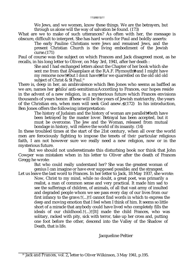We Jews, and we women, know these things. We are the betrayers, but through us alone will the way of salvation be found. (173)

What are we to make of such utterances? As often with her, the message is obscure, difficult to interpret. She has hard words for Paul and boldly asserts:

The early Pauline Christians were Jews and remained Jews, and the present Christian Church is the living embodiment of the Jewish curse.(171)

Paul of course was the subject on which Frances and Jack disagreed most, as he recalls, in his long letter to Oliver, on May 3rd, 1941, after her death :

She and I had exchanged letters about the Chapter of her book which she sent me from that åNaa place at the R.A.F. Plymouth#and I might have my remorse now††but I *don t* have††for we quarrelled on the old old old subject of Christ & St Paul.<sup>20</sup>

There is, deep in her, an ambivalence which Ben Jones who seems as baffled as we are, names her philo/anti-semitism. According to Frances, our hopes reside in the advent of a new religion, in a mysterious future which Frances envisions thousands of years hence: These will be the years of Jewish matriarchy, the years of the Christian era, when men will seek God anew.  $\uparrow$  (172) In his introduction, Ben Jones offers the following interpretation:

The history of Judaism and the history of woman are parallel††both have been betrayed by the master lover. Betrayal has been accepted, but it must be overcome. The Jew and the Woman, released from mutual bondage in history, will relieve the world of its insanity. (14)

In these troubled times at the start of the 21st century, when all over the world men are ferociously fighting to impose the tenets of *their* particular religious faith, I am not however sure we really need a new religion, now or in the mysterious future.

But we should not underestimate this disturbing book nor think that John Cowper was mistaken when in his letter to Oliver after the death of Frances Gregg he wrote:

But who could really understand her? She was the greatest woman of genius I can imagine or have ever supposed possible; and the strangest.

Let us leave the last word to Frances. In her letter to Jack, 18 May 1937, she wrote: Now, Christ to my mind, while no doubt, a great poet, was primarily a realist, a man of common sense and very practical. It made him sad to see the sufferings of children, of animals, of all that vast army of insulted and degraded people whom we see pass every day of our lives from our first infancy to the grave.†(...)†I cannot find words in which to express the deep and moving emotion that I feel when I think of him. It seems so little short of a miracle that anybody could have lived who completely fills the ideals of our childhood.†(...)†[It] made the child Frances, who was solitary, racked with pity, sick with terror, take up her cross and, putting one foot before the other, descend into the Valley of the Shadow of Death, that is life.

Jacqueline Peltier

<sup>20</sup> *Jack and Frances,* vol. 2, letter to Oliver Wilkinson, 3 May 1941, p.195.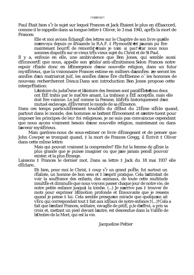### ttã#9tãtt

Paul Ètait bien s'r le sujet sur lequel Frances et Jack Ètaient le plus en dÈsaccord, comme il le rappelle dans sa longue lettre  $\ddagger$  Oliver, le 3 mai 1941, apr $\ddot{E}$ s la mort de Frances:

Elle et moi avions EchangE des lettres sur le Chapitre de son livre quelle m envoya depuis ce aNaa de la R.A.F. ‡ Plymouth† †et j aurais pu Ítre maintenant bourrÈ de remords<sup>†</sup> mais je *n* en ai pas† tar nous nous sommes disputEs sur ce vieux trEs vieux suiet du Christ et de St Paul.

Il y a, enfouie en elle, une ambivalence que Ben Jones, qui semble aussi dEconcertE que nous, appelle son philo/anti-sEmitisme. Selon Frances notre espoir rÈside donc en l'Emergence d'une nouvelle religion, dans un futur mystÈrieux, que la visionnaire Frances estime en milliers d'annÈes: ce seront les annet des d'un matriarcat juif, les annets d'une Ere chrétienne o<sup>r</sup> les hommes de nouveau rechercheront Dieu. Dans son introduction Ben Jones propose cette interprEtation:

L histoire du judaÔsme et l histoire des femmes sont parallEles tous deux ont ÈtÈ trahis par le maÓtre amant. La trahison a ÈtÈ acceptÈe, mais elle doit Itre vaincue. Le juif comme la Femme, libErEs historiquement d un mutuel esclavage, dElivreront le monde de sa dEmence.

Dans ces temps particuliErement troublEs du dEbut du 21Eme siEcle quand, partout dans le monde, des hommes se battent fErocement et s entre-tuent pour imposer les principes de *leur* foi religieuse, je ne suis pas convaincue cependant que nous ayons vraiment besoin d'une nouvelle religion, maintenant ou dans l avenir mystÈrieux.

Mais gardons-nous de sous-estimer ce livre dÉrangeant et de penser que John Cowper se trompait quand, ‡ la mort de Frances Gregg, il Écrivit ‡ Oliver dans cette mime lettre:

Mais qui pouvait vraiment la comprendre? Elle fut la femme de gÈnie la plus grande que je puisse imaginer ou que j aie jamais pensE pouvoir exister; et la plus Etrange.

Laissons ‡ Frances le dernier mot. Dans sa lettre ‡ Jack du 18 mai 1937 elle dEclare<sup>.</sup>

Eh bien, pour moi le Christ,  $\ddagger$  coup s'r un grand po  $\ddot{E}$ te, fut surtout un rÈaliste, un homme de bon sens et ‡ l esprit pratique. Cela l attristait de voir la souffrance des enfants, des animaux, de toute cette multitude insultEe et diminuEe que nous voyons passer chaque jour de notre vie, de notre petite enfance jusqu  $\ddagger$  la tombe. (...) Je n arrive pas  $\ddagger$  trouver de mots pour exprimer l'Emotion profonde et Emouvante que je ressens quand je pense ‡ lui. Cela semble presqu un miracle que quelqu un ait vEcu qui correspondait tout ‡ fait aux idEaux de notre enfance.†(…)†Cela a fait que l'enfant Frances, solitaire, ravagÈe de pitiÈ, p, le d'effroi, a pris sa croix et, mettant un pied devant l autre, est descendue dans la VallEe de l Ombre de la Mort, qui est la vie.

Jacqueline Peltier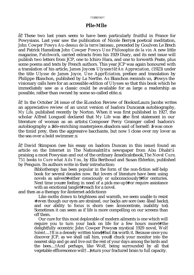### ††ã†50†ã††

# **PÍle-MÍle**

ã† These two last years seem to have been particularly fruitful in France for Powysians. Last year saw the publication of Nicole Berry s poetical meditation, *John Cowper Powys Au-dessus de la terre l oiseau*, preceded by Goulven Le Brech and Patrick Hamelin s *John Cowper Powys Une Philosophie de la vie*. A new little magazine, *Patchwork*, carried extracts from his 1929 Diary, and its next issue will publish two letters from JCP, one to Ichiro Hara, and one to Iorwerth Peate, plus some poems and texts by French authors. This year JCP was again honoured with a translation of his article, *James Joyce s Ulysses*†ã†*An Appreciation*, (1923) under the title *Ulysse de James Joyce, Une ApprÈciation*, preface and translation by Philippe Blanchon, published by La Nerthe. As Blanchon reminds us, Powys the visionary calls here for an accessible edition of *Ulysses* so that this book which he immediately saw as a classic could be available for as large a readership as possible, rather than owned by some so-called elite.

ã† In the October 24 issue of the åLondon Review of Booksπ Laura Jacobs writes an appreciative review of an uncut version of Isadora Duncan s autobiography, *My Life,* published recently by Norton. When it was first published in 1927, the scholar Alfred Longueil declared that *My Life* was the first statement in our literature of woman as an artist. Composer Percy Grainger called Isadora's autobiography a life-enriching masterpiece. Isadora said of herself: I was once the timid prey, then the aggressive bacchante, but now I close over my lover as the sea over a bold swimmer.

ã† David Stimpson (see his essay on Isadora Duncan in this issue) found an article on the Internet in The National †ã†a newspaper from Abu Dhabi*†ã* praising a most Powysian and out of the ordinary amedical book, *The Novel Cure*, *751 books to Cure what Ails You*, by Ella Berthoud and Susan Elderkin, published by Penguin. Its authors write in their introduction:

Bibliotherapy has been popular in the form of the non-fiction self-help book for several decades now. But lovers of literature have been using novels as salves††either consciously or subconsciously††for centuries. Next time you re feeling in need of a pick-me-up††or require assistance with an emotional tangle†≠†reach for a novel.

and then as a therapy for a internet addiction

Like moths drawn to brightness and warmth, we seem unable to resist †even though our eyes are strained, our backs are sore (see: abad back), and our ability to focus is shorn (see: aconcentrate, inability to ). Sometimes it can seem as if life is more compelling on our screens than off them.

Our cure for this most deplorable of modern ailments is one which will require you to turn your back on life for a few hours more†≠†the delightfully eccentric John Cowper Powys s mystical 1929 novel, *Wolf Solent....*†It is a densely written tome††but it s worth it. Because once you discover JCP, as we shall call him, you ll chuck your monitor into the nearest skip and go and live out the rest of your days among the birds and the bees....†And perhaps, like Wolf, being surrounded by all that vegetable efflorescence will<sup>†</sup>... †eturn your fractured brain to full capacity.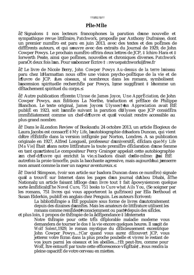### ttã51tãtt

# PÍle-MÍle

ㆠSignalons ‡ nos lecteurs francophones la parution d'une nouvelle et sympathique revue littEraire, Patchwork, proposEe par Anthony Dufraisse, dont un premier numEro est paru en juin 2013, avec des textes et des poEmes de diffÈrents auteurs, et qui s'ouvre avec des extraits du Journal de 1929, de John Cowper Powys. Le prochain numEro offrira deux lettres de JCP,  $\ddagger$  Ichiro Hara et  $\ddagger$ Iorwerth Peate, ainsi que poËmes, nouvelles et chroniques diverses. Patchwork paraÓt deux fois l an. Pour s abonner Ecrire ‡ : revuepatchwork@free.fr

 $\tilde{a}^{\dagger}$  Le livre de Nicole Berry, John Cowper Powys Au-dessus de la terre l'oiseau paru chez l Harmattan nous offre une vision psycho-poÈtique de la vie et de I Juvre de JCP. Les oiseaux, si nombreux dans les romans, symbolisent l ascension spirituelle recherchEe par Powys, 1 me suggErant ‡ l homme un dEtachement spirituel du corps.

 $\tilde{a}^{\dagger}$  Autre publication rEcente: *Ulysse de James Joyce*, *Une ApprEciation* de John Cowper Powys, aux Editions La Nerthe, traduction et prEface de Philippe Blanchon. Le texte original, James Joyce s Ulysses<sup>†</sup> an Appreciation avait EtE publie en 1923, soit l année suivant la parution dUlysses que JCP considera immEdiatement comme un chef-d ¶uvre et qu il voulait rendre accessible au plus grand nombre.

 $\tilde{a}^{\dagger}$  Dans le aLondon Review of Books du 24 octobre 2013, un article Elogieux de Laura Jacobs est consacrÈ ‡ My Life, l autobiographie d Isadora Duncan, qui vient d Itre rÈÈditÈe dans la version intÈgrale par Norton, Londres. A sa publication originale en 1927, Alfred Longueil, professeur d'universitE, dEclara que My Life [Ma Vie] Etait dans notre littErature la toute premiEre dEclaration d une femme en tant qu artiste. Le compositeur Percy Grainger appelait cette autobiographie un chef-d Juvre qui enrichit la vie. Isadora disait delle-mime: Jai EtE autrefois la proie timore e, puis la bacchante agressive, mais aujourd hui j enserre mon amant comme la mer un nageur aventureux.

 $\tilde{a}^{\dagger}$  David Stimpson, (voir son article sur Isadora Duncan dans ce numEro) signale qu il a trouvE sur Internet dans les pages d'un journal d'Abou Dhabi, aThe National, un article faisant l Eloge d un livre tout  $\ddagger$  fait apowysien en quelque sorte amEdical, The Novel Cure, 751 books to Cure what Ails You, (Se soigner par les romans, 751 livres qui vous apporteront la guErison) par Ella Berthoud et Susan Elderkin, publiÈ en anglais chez Penguin. Les auteurs Ecrivent:

La bibliothErapie a EtE populaire sous forme de livres d autotraitement depuis des dizaines d'annÈes. Mais les amateurs de littÈrature utilisent les romans comme remEdest t consciemment ou past t depuis des siEcles. et plus loin,  $\ddagger$  propos de thErapie de la adEpendance  $\ddagger$  l Internet :

Notre thermapie pour cette tres deplorable maladie moderne vous demandera de tourner le dos  $\ddagger$  la vie encore quelques heures. Il s agit de Wolf Solent, 1929, le roman mystique du délicieus ement excentrique John Cowper Powys....†Car quand vous aurez dEcouvert JCP, vous jetterez votre Ecran dans la plus proche poubelle et vivrez le restant de vos jours parmi les oiseaux et les abeilles....† Et peut-Itre, comme pour Wolf, Itre entourE par toute cette efflorescence vEgEtale ... vous rendra la pleine capacitE de votre cerveau en miettes.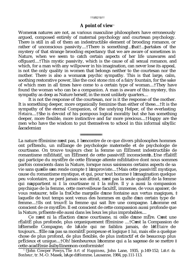#### ††ã†52†ã††

# **A point of view**<sup>1</sup>

Women s natures are not, as various masculine philosophers have erroneously argued, composed entirely of maternal psychology and courtesan psychology. There is still in all of them an indestructible element of brooding romance, or rather of unconscious passivity....†There is something...that†...partakes of the mystery of that strange brooding expectancy that we are aware of sometimes in Nature, when we seem to catch certain aspects of her life unawares and offguard....†This mystic passivity, which is the cause of all sexual romance, and which, for a man with any willpower in his imagination, can never lose its appeal, is not the only quality in women that belongs neither to the courtesan nor the mother. There is also a woman s psychic sympathy. This is that large, calm, soothing restorative power, like the cool stone rim of a fairy fountain, for the sake of which men in all times have come to a certain type of woman....†They have found the woman who can be a companion. A man is aware of this mystery, this sympathy as deep as Nature herself, in the most unlikely quarters....

It is not the response of the courtesan, nor is it the response of the mother. It is something deeper, more organically feminine than either of these....†It is the sympathy of the eternal Companion, of the undying Helper, of the everlasting *Hetaira*....†She is devoid of his pompous logical morality but she has something deeper, more flexible, more instinctive and far more precious....†Happy are the men who have the wisdom to put themselves to school in this informal sibyllic áacademia.

La nature fÈminine n est pas,  $\ddagger$  l encontre de ce que divers philosophes hommes ont prÈtendu, un mÈlange de psychologie maternelle et de psychologie de courtisane. On trouve toujours chez la femme un ÈlÈment indestructible de romantisme mÈditatif, un ÈlÈment de cette passivitÈ inconsciente $\mathbf{L}$ ...the rÈalitÈ qui participe du mystËre de cette Ètrange attente mÈditative dont nous sommes parfois conscients dans la Nature, lorsque nous saisissons certains aspects de sa vie sans qu elle s en rende compte  $\ddagger$  l improviste....†Mais cette passivitÈ mystique, cause du romantisme mystique, et qui, pour tout homme  $\ddagger$  l imagination quelque peu volontaire, ne perd jamais son attrait, n est pas la seule qualitÈ de la femme qui n appartient ni  $\ddagger$  la courtisane ni  $\ddagger$  la mÊre. Il y a aussi la compassion psychique de la femme, cette merveilleuse facultÈ, immense, de vous apaiser, de vous restaurer, telle la fraÓche margelle d une fontaine aux vertus magiques, ‡ laquelle de tout temps sont venus des hommes en quite d un certain type de femme....†Ils ont trouvÈ la femme qui sait Ítre une compagne. L homme est conscient de ce mystËre. Il est conscient de cette compassion aussi profonde que la Nature, prÈsente elle aussi dans les lieux les plus improbables....

Ce n est ni la rÈaction d une courtisane, ni celle d une mËre. C est une rÈalitÈ plus profonde, plus organiquement fÈminine ....†C est la Compassion de l Èternelle Compagne, de l'Aide qui ne faiblira jamais, de l'*HÈtaire* de toujours.... Elle n a pas sa moralitE pompeuse et logique ‡ lui, mais elle a quelque chose de plus profond, de plus flexible, de plus instinctif et de beaucoup plus prÈcieux et unique....†Oh! bienheureux l homme qui a la sagesse de se mettre  $\ddagger$ cette acadÈmie àsibylline non-conformiste!

<sup>1</sup> †John Cowper Powys, *The Art of Happiness*, John Lane, 1935, p.149-152; *LArt du Bonheur*, tr. M.-O. Masek, l Age d Homme, Lausanne, 1984, pp.111-113.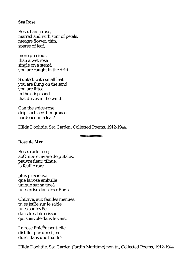## **Sea Rose**

Rose, harsh rose, marred and with stint of petals, meagre flower, thin, sparse of leaf,

more precious than a wet rose single on a stemã you are caught in the drift.

Stunted, with small leaf, you are flung on the sand, you are lifted in the crisp sand that drives in the wind.

Can the spice-rose drip such acrid fragrance hardened in a leaf?

Hilda Doolittle, *Sea Garden*, Collected Poems, 1912-1944.

## **Rose de Mer**

Rose, rude rose, abÓmÈe et avare de pÈtales, pauvre fleur, tÈnue, la feuille rare,

plus prÈcieuse que la rose embuÈe unique sur sa tigeã tu es prise dans les dÈbris.

ChÈtive, aux feuilles menues, tu es jetÈe sur le sable, tu es soulevÈe dans le sable crissant qui s envole dans le vent.

La rose ÈpicÈe peut-elle distiller parfum si, cre durci dans une feuille?

Hilda Doolittle, *Sea Garden* (Jardin Maritime) non tr., Collected Poems, 1912-1944